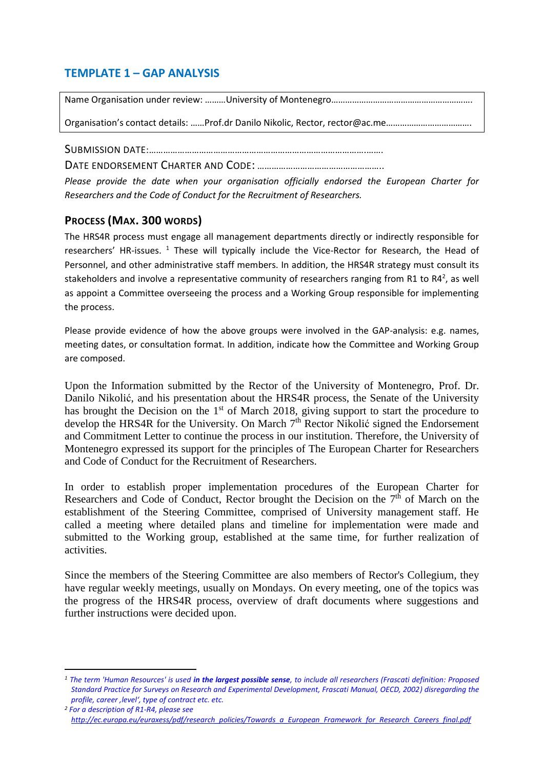## **TEMPLATE 1 – GAP ANALYSIS**

Name Organisation under review: ………University of Montenegro…………………………………………………….

Organisation's contact details: ……Prof.dr Danilo Nikolic, Rector, rector@ac.me……………………………….

SUBMISSION DATE:……………………………………………………………………………….…….

DATE ENDORSEMENT CHARTER AND CODE: ……………………………………………..

*Please provide the date when your organisation officially endorsed the European Charter for Researchers and the Code of Conduct for the Recruitment of Researchers.*

### **PROCESS (MAX. 300 WORDS)**

**.** 

The HRS4R process must engage all management departments directly or indirectly responsible for researchers' HR-issues.<sup>1</sup> These will typically include the Vice-Rector for Research, the Head of Personnel, and other administrative staff members. In addition, the HRS4R strategy must consult its stakeholders and involve a representative community of researchers ranging from R1 to R4<sup>2</sup>, as well as appoint a Committee overseeing the process and a Working Group responsible for implementing the process.

Please provide evidence of how the above groups were involved in the GAP-analysis: e.g. names, meeting dates, or consultation format. In addition, indicate how the Committee and Working Group are composed.

Upon the Information submitted by the Rector of the University of Montenegro, Prof. Dr. Danilo Nikolić, and his presentation about the HRS4R process, the Senate of the University has brought the Decision on the 1<sup>st</sup> of March 2018, giving support to start the procedure to develop the HRS4R for the University. On March  $7<sup>th</sup>$  Rector Nikolić signed the Endorsement and Commitment Letter to continue the process in our institution. Therefore, the University of Montenegro expressed its support for the principles of The European Charter for Researchers and Code of Conduct for the Recruitment of Researchers.

In order to establish proper implementation procedures of the European Charter for Researchers and Code of Conduct, Rector brought the Decision on the  $7<sup>th</sup>$  of March on the establishment of the Steering Committee, comprised of University management staff. He called a meeting where detailed plans and timeline for implementation were made and submitted to the Working group, established at the same time, for further realization of activities.

Since the members of the Steering Committee are also members of Rector's Collegium, they have regular weekly meetings, usually on Mondays. On every meeting, one of the topics was the progress of the HRS4R process, overview of draft documents where suggestions and further instructions were decided upon.

*<sup>1</sup> The term 'Human Resources' is used in the largest possible sense, to include all researchers (Frascati definition: Proposed Standard Practice for Surveys on Research and Experimental Development, Frascati Manual, OECD, 2002) disregarding the profile, career 'level', type of contract etc. etc.* 

*<sup>2</sup> For a description of R1-R4, please see [http://ec.europa.eu/euraxess/pdf/research\\_policies/Towards\\_a\\_European\\_Framework\\_for\\_Research\\_Careers\\_final.pdf](http://ec.europa.eu/euraxess/pdf/research_policies/Towards_a_European_Framework_for_Research_Careers_final.pdf)*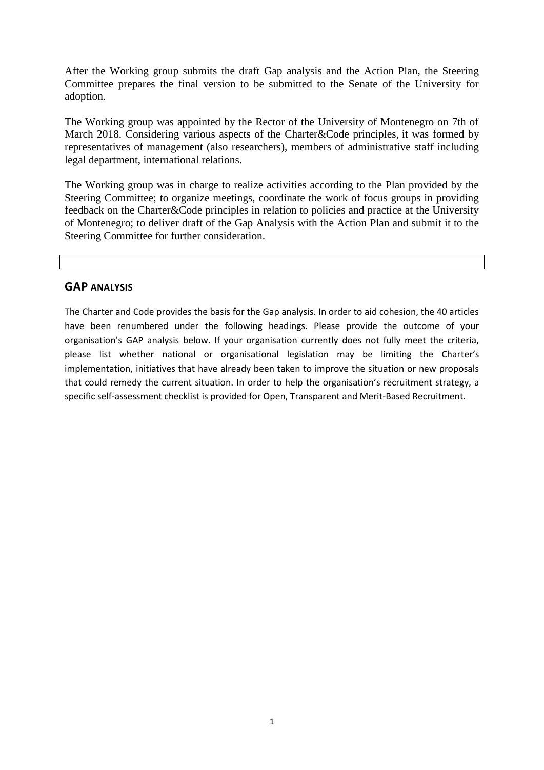After the Working group submits the draft Gap analysis and the Action Plan, the Steering Committee prepares the final version to be submitted to the Senate of the University for adoption.

The Working group was appointed by the Rector of the University of Montenegro on 7th of March 2018. Considering various aspects of the Charter&Code principles, it was formed by representatives of management (also researchers), members of administrative staff including legal department, international relations.

The Working group was in charge to realize activities according to the Plan provided by the Steering Committee; to organize meetings, coordinate the work of focus groups in providing feedback on the Charter&Code principles in relation to policies and practice at the University of Montenegro; to deliver draft of the Gap Analysis with the Action Plan and submit it to the Steering Committee for further consideration.

#### **GAP ANALYSIS**

The Charter and Code provides the basis for the Gap analysis. In order to aid cohesion, the 40 articles have been renumbered under the following headings. Please provide the outcome of your organisation's GAP analysis below. If your organisation currently does not fully meet the criteria, please list whether national or organisational legislation may be limiting the Charter's implementation, initiatives that have already been taken to improve the situation or new proposals that could remedy the current situation. In order to help the organisation's recruitment strategy, a specific self-assessment checklist is provided for Open, Transparent and Merit-Based Recruitment.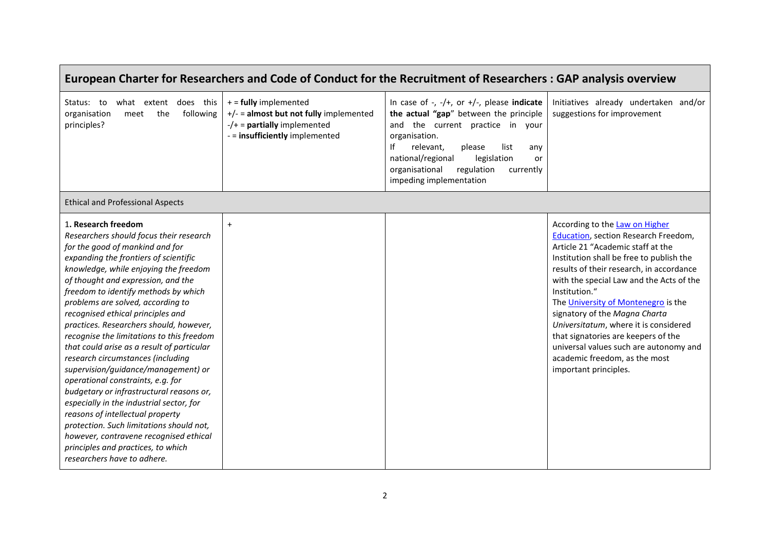|                                                                                                                                                                                                                                                                                                                                                                                                                                                                                                                                                                                                                                                                                                                                                                                                                                                                                           |                                                                                                                                        | European Charter for Researchers and Code of Conduct for the Recruitment of Researchers: GAP analysis overview                                                                                                                                                                                             |                                                                                                                                                                                                                                                                                                                                                                                                                                                                                                                              |
|-------------------------------------------------------------------------------------------------------------------------------------------------------------------------------------------------------------------------------------------------------------------------------------------------------------------------------------------------------------------------------------------------------------------------------------------------------------------------------------------------------------------------------------------------------------------------------------------------------------------------------------------------------------------------------------------------------------------------------------------------------------------------------------------------------------------------------------------------------------------------------------------|----------------------------------------------------------------------------------------------------------------------------------------|------------------------------------------------------------------------------------------------------------------------------------------------------------------------------------------------------------------------------------------------------------------------------------------------------------|------------------------------------------------------------------------------------------------------------------------------------------------------------------------------------------------------------------------------------------------------------------------------------------------------------------------------------------------------------------------------------------------------------------------------------------------------------------------------------------------------------------------------|
| Status: to what extent does this<br>organisation<br>the<br>following<br>meet<br>principles?                                                                                                                                                                                                                                                                                                                                                                                                                                                                                                                                                                                                                                                                                                                                                                                               | $+$ = fully implemented<br>$+/-$ = almost but not fully implemented<br>$-/-$ = partially implemented<br>- = insufficiently implemented | In case of -, $-$ /+, or +/-, please indicate<br>the actual "gap" between the principle<br>and the current practice in your<br>organisation.<br>lf<br>relevant,<br>list<br>please<br>any<br>national/regional<br>legislation<br>or<br>regulation<br>organisational<br>currently<br>impeding implementation | Initiatives already undertaken and/or<br>suggestions for improvement                                                                                                                                                                                                                                                                                                                                                                                                                                                         |
| <b>Ethical and Professional Aspects</b>                                                                                                                                                                                                                                                                                                                                                                                                                                                                                                                                                                                                                                                                                                                                                                                                                                                   |                                                                                                                                        |                                                                                                                                                                                                                                                                                                            |                                                                                                                                                                                                                                                                                                                                                                                                                                                                                                                              |
| 1. Research freedom<br>Researchers should focus their research<br>for the good of mankind and for<br>expanding the frontiers of scientific<br>knowledge, while enjoying the freedom<br>of thought and expression, and the<br>freedom to identify methods by which<br>problems are solved, according to<br>recognised ethical principles and<br>practices. Researchers should, however,<br>recognise the limitations to this freedom<br>that could arise as a result of particular<br>research circumstances (including<br>supervision/guidance/management) or<br>operational constraints, e.g. for<br>budgetary or infrastructural reasons or,<br>especially in the industrial sector, for<br>reasons of intellectual property<br>protection. Such limitations should not,<br>however, contravene recognised ethical<br>principles and practices, to which<br>researchers have to adhere. | $+$                                                                                                                                    |                                                                                                                                                                                                                                                                                                            | According to the Law on Higher<br>Education, section Research Freedom,<br>Article 21 "Academic staff at the<br>Institution shall be free to publish the<br>results of their research, in accordance<br>with the special Law and the Acts of the<br>Institution."<br>The University of Montenegro is the<br>signatory of the Magna Charta<br>Universitatum, where it is considered<br>that signatories are keepers of the<br>universal values such are autonomy and<br>academic freedom, as the most<br>important principles. |

г

#### 2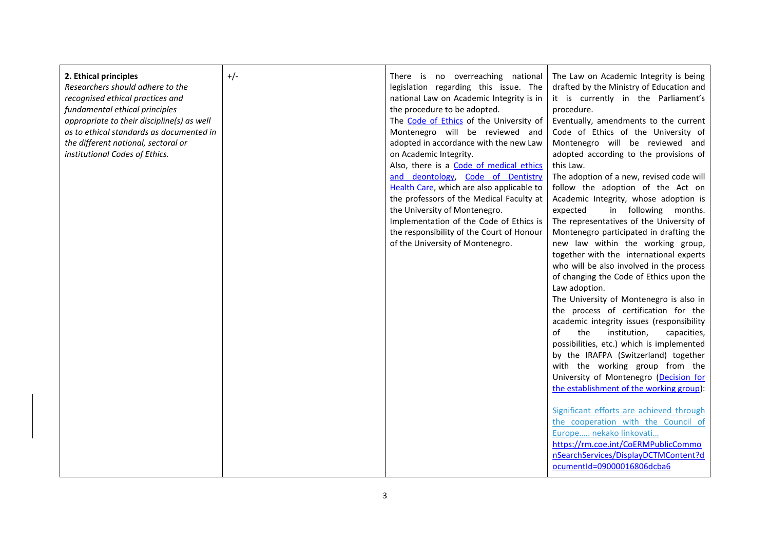| 2. Ethical principles<br>Researchers should adhere to the<br>recognised ethical practices and<br>fundamental ethical principles<br>appropriate to their discipline(s) as well<br>as to ethical standards as documented in<br>the different national, sectoral or<br>institutional Codes of Ethics. | $+/-$ | There is no overreaching national<br>legislation regarding this issue. The<br>national Law on Academic Integrity is in<br>the procedure to be adopted.<br>The Code of Ethics of the University of<br>Montenegro will be reviewed and<br>adopted in accordance with the new Law<br>on Academic Integrity.<br>Also, there is a Code of medical ethics<br>and deontology, Code of Dentistry<br>Health Care, which are also applicable to<br>the professors of the Medical Faculty at<br>the University of Montenegro.<br>Implementation of the Code of Ethics is<br>the responsibility of the Court of Honour<br>of the University of Montenegro. | The Law on Academic Integrity is being<br>drafted by the Ministry of Education and<br>it is currently in the Parliament's<br>procedure.<br>Eventually, amendments to the current<br>Code of Ethics of the University of<br>Montenegro will be reviewed and<br>adopted according to the provisions of<br>this Law.<br>The adoption of a new, revised code will<br>follow the adoption of the Act on<br>Academic Integrity, whose adoption is<br>expected<br>in following months.<br>The representatives of the University of<br>Montenegro participated in drafting the<br>new law within the working group,<br>together with the international experts<br>who will be also involved in the process<br>of changing the Code of Ethics upon the<br>Law adoption.<br>The University of Montenegro is also in<br>the process of certification for the<br>academic integrity issues (responsibility<br>of<br>the<br>institution,<br>capacities,<br>possibilities, etc.) which is implemented<br>by the IRAFPA (Switzerland) together<br>with the working group from the<br>University of Montenegro (Decision for<br>the establishment of the working group): |
|----------------------------------------------------------------------------------------------------------------------------------------------------------------------------------------------------------------------------------------------------------------------------------------------------|-------|------------------------------------------------------------------------------------------------------------------------------------------------------------------------------------------------------------------------------------------------------------------------------------------------------------------------------------------------------------------------------------------------------------------------------------------------------------------------------------------------------------------------------------------------------------------------------------------------------------------------------------------------|----------------------------------------------------------------------------------------------------------------------------------------------------------------------------------------------------------------------------------------------------------------------------------------------------------------------------------------------------------------------------------------------------------------------------------------------------------------------------------------------------------------------------------------------------------------------------------------------------------------------------------------------------------------------------------------------------------------------------------------------------------------------------------------------------------------------------------------------------------------------------------------------------------------------------------------------------------------------------------------------------------------------------------------------------------------------------------------------------------------------------------------------------------|
|                                                                                                                                                                                                                                                                                                    |       |                                                                                                                                                                                                                                                                                                                                                                                                                                                                                                                                                                                                                                                | Significant efforts are achieved through<br>the cooperation with the Council of<br>Europe nekako linkovati<br>https://rm.coe.int/CoERMPublicCommo<br>nSearchServices/DisplayDCTMContent?d<br>ocumentId=09000016806dcba6                                                                                                                                                                                                                                                                                                                                                                                                                                                                                                                                                                                                                                                                                                                                                                                                                                                                                                                                  |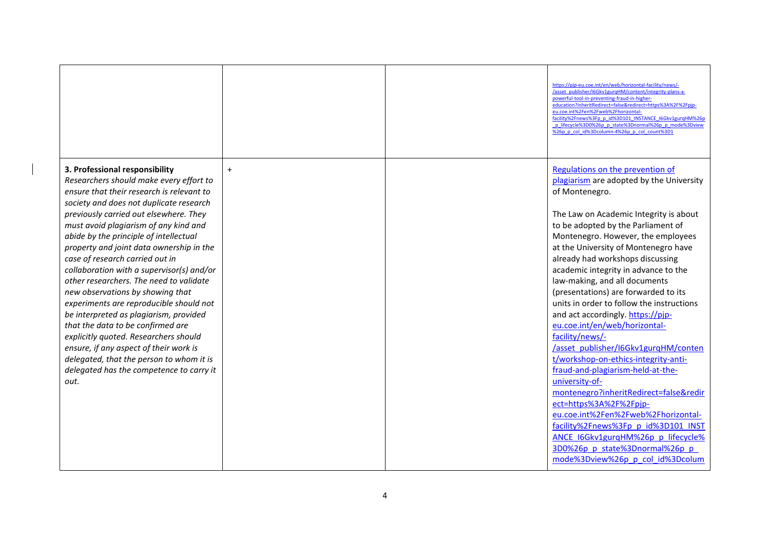|                                                                                                                                                                                                                                                                                                                                                                                 |     | https://pjp-eu.coe.int/en/web/horizontal-facility/news/-<br>/asset_publisher/I6Gkv1gurgHM/content/integrity-plans-a-<br>powerful-tool-in-preventing-fraud-in-higher-<br>education?inheritRedirect=false&redirect=https%3A%2F%2Fpjp-<br>eu.coe.int%2Fen%2Fweb%2Fhorizontal-<br>facility%2Fnews%3Fp p id%3D101 INSTANCE I6Gkv1gurgHM%26p<br>p lifecycle%3D0%26p p state%3Dnormal%26p p mode%3Dview<br>%26p p col id%3Dcolumn-4%26p p col count%3D1 |
|---------------------------------------------------------------------------------------------------------------------------------------------------------------------------------------------------------------------------------------------------------------------------------------------------------------------------------------------------------------------------------|-----|--------------------------------------------------------------------------------------------------------------------------------------------------------------------------------------------------------------------------------------------------------------------------------------------------------------------------------------------------------------------------------------------------------------------------------------------------|
| 3. Professional responsibility<br>Researchers should make every effort to<br>ensure that their research is relevant to                                                                                                                                                                                                                                                          | $+$ | Regulations on the prevention of<br>plagiarism are adopted by the University<br>of Montenegro.                                                                                                                                                                                                                                                                                                                                                   |
| society and does not duplicate research<br>previously carried out elsewhere. They<br>must avoid plagiarism of any kind and<br>abide by the principle of intellectual<br>property and joint data ownership in the<br>case of research carried out in<br>collaboration with a supervisor(s) and/or<br>other researchers. The need to validate<br>new observations by showing that |     | The Law on Academic Integrity is about<br>to be adopted by the Parliament of<br>Montenegro. However, the employees<br>at the University of Montenegro have<br>already had workshops discussing<br>academic integrity in advance to the<br>law-making, and all documents<br>(presentations) are forwarded to its                                                                                                                                  |
| experiments are reproducible should not<br>be interpreted as plagiarism, provided<br>that the data to be confirmed are<br>explicitly quoted. Researchers should<br>ensure, if any aspect of their work is<br>delegated, that the person to whom it is<br>delegated has the competence to carry it                                                                               |     | units in order to follow the instructions<br>and act accordingly. https://pip-<br>eu.coe.int/en/web/horizontal-<br>facility/news/-<br>/asset publisher/I6Gkv1gurqHM/conten<br>t/workshop-on-ethics-integrity-anti-<br>fraud-and-plagiarism-held-at-the-                                                                                                                                                                                          |
| out.                                                                                                                                                                                                                                                                                                                                                                            |     | university-of-<br>montenegro?inheritRedirect=false&redir<br>ect=https%3A%2F%2Fpjp-<br>eu.coe.int%2Fen%2Fweb%2Fhorizontal-<br>facility%2Fnews%3Fp p id%3D101 INST<br>ANCE I6Gkv1gurqHM%26p p lifecycle%<br>3D0%26p p state%3Dnormal%26p p<br>mode%3Dview%26p p col id%3Dcolum                                                                                                                                                                     |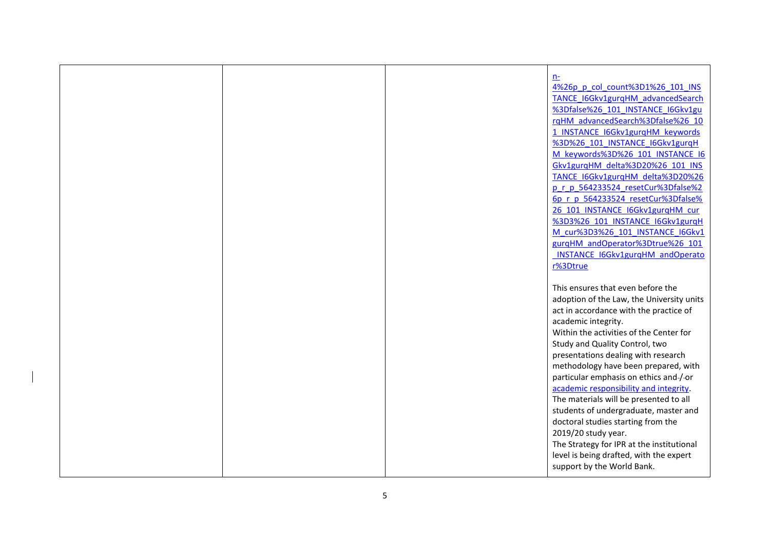|  | $n-$                                      |
|--|-------------------------------------------|
|  | 4%26p p col count%3D1%26 101 INS          |
|  | TANCE I6Gkv1gurgHM advancedSearch         |
|  | %3Dfalse%26 101 INSTANCE I6Gkv1gu         |
|  | rqHM advancedSearch%3Dfalse%26 10         |
|  |                                           |
|  | 1 INSTANCE I6Gkv1gurgHM keywords          |
|  | %3D%26 101 INSTANCE I6Gkv1gurqH           |
|  | M keywords%3D%26 101 INSTANCE I6          |
|  | Gkv1gurqHM delta%3D20%26 101 INS          |
|  | TANCE I6Gkv1gurqHM delta%3D20%26          |
|  | p r p 564233524 resetCur%3Dfalse%2        |
|  | 6p r p 564233524 resetCur%3Dfalse%        |
|  | 26 101 INSTANCE I6Gkv1gurgHM cur          |
|  | %3D3%26 101 INSTANCE I6Gkv1gurqH          |
|  | M cur%3D3%26 101 INSTANCE I6Gkv1          |
|  | gurqHM andOperator%3Dtrue%26 101          |
|  | INSTANCE I6Gkv1gurqHM andOperato          |
|  | r%3Dtrue                                  |
|  |                                           |
|  | This ensures that even before the         |
|  | adoption of the Law, the University units |
|  | act in accordance with the practice of    |
|  | academic integrity.                       |
|  | Within the activities of the Center for   |
|  | Study and Quality Control, two            |
|  | presentations dealing with research       |
|  | methodology have been prepared, with      |
|  | particular emphasis on ethics and-/-or    |
|  | academic responsibility and integrity.    |
|  | The materials will be presented to all    |
|  | students of undergraduate, master and     |
|  |                                           |
|  | doctoral studies starting from the        |
|  | 2019/20 study year.                       |
|  | The Strategy for IPR at the institutional |
|  | level is being drafted, with the expert   |
|  | support by the World Bank.                |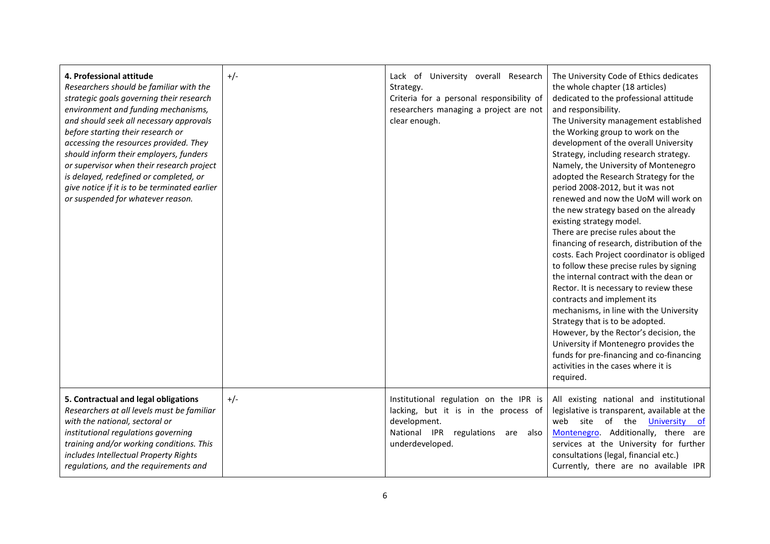| 4. Professional attitude<br>Researchers should be familiar with the<br>strategic goals governing their research<br>environment and funding mechanisms,<br>and should seek all necessary approvals<br>before starting their research or<br>accessing the resources provided. They<br>should inform their employers, funders<br>or supervisor when their research project<br>is delayed, redefined or completed, or<br>give notice if it is to be terminated earlier<br>or suspended for whatever reason. | $+/-$ | Lack of University overall Research<br>Strategy.<br>Criteria for a personal responsibility of<br>researchers managing a project are not<br>clear enough. | The University Code of Ethics dedicates<br>the whole chapter (18 articles)<br>dedicated to the professional attitude<br>and responsibility.<br>The University management established<br>the Working group to work on the<br>development of the overall University<br>Strategy, including research strategy.<br>Namely, the University of Montenegro<br>adopted the Research Strategy for the<br>period 2008-2012, but it was not<br>renewed and now the UoM will work on<br>the new strategy based on the already<br>existing strategy model.<br>There are precise rules about the<br>financing of research, distribution of the<br>costs. Each Project coordinator is obliged<br>to follow these precise rules by signing<br>the internal contract with the dean or<br>Rector. It is necessary to review these<br>contracts and implement its<br>mechanisms, in line with the University<br>Strategy that is to be adopted.<br>However, by the Rector's decision, the<br>University if Montenegro provides the<br>funds for pre-financing and co-financing<br>activities in the cases where it is<br>required. |
|---------------------------------------------------------------------------------------------------------------------------------------------------------------------------------------------------------------------------------------------------------------------------------------------------------------------------------------------------------------------------------------------------------------------------------------------------------------------------------------------------------|-------|----------------------------------------------------------------------------------------------------------------------------------------------------------|-----------------------------------------------------------------------------------------------------------------------------------------------------------------------------------------------------------------------------------------------------------------------------------------------------------------------------------------------------------------------------------------------------------------------------------------------------------------------------------------------------------------------------------------------------------------------------------------------------------------------------------------------------------------------------------------------------------------------------------------------------------------------------------------------------------------------------------------------------------------------------------------------------------------------------------------------------------------------------------------------------------------------------------------------------------------------------------------------------------------|
| 5. Contractual and legal obligations<br>Researchers at all levels must be familiar<br>with the national, sectoral or<br>institutional regulations governing<br>training and/or working conditions. This<br>includes Intellectual Property Rights<br>regulations, and the requirements and                                                                                                                                                                                                               | $+/-$ | Institutional regulation on the IPR is<br>lacking, but it is in the process of<br>development.<br>National IPR regulations are also<br>underdeveloped.   | All existing national and institutional<br>legislative is transparent, available at the<br>web site of the University of<br>Montenegro. Additionally, there are<br>services at the University for further<br>consultations (legal, financial etc.)<br>Currently, there are no available IPR                                                                                                                                                                                                                                                                                                                                                                                                                                                                                                                                                                                                                                                                                                                                                                                                                     |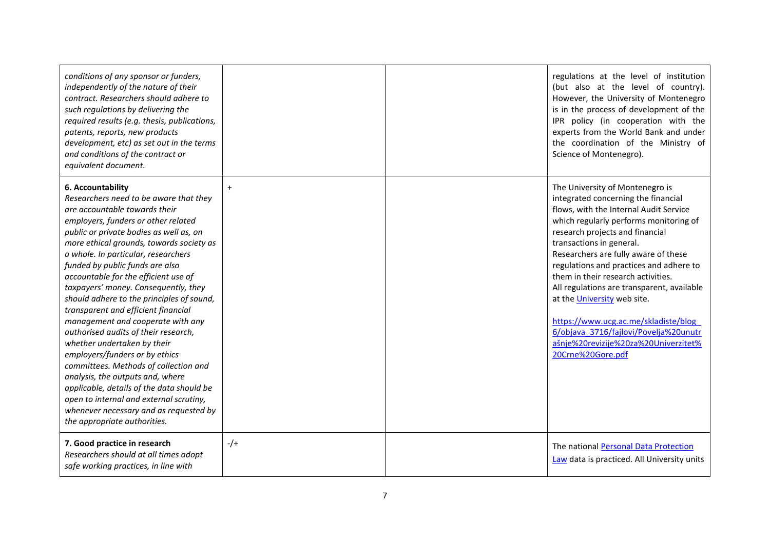| conditions of any sponsor or funders,<br>independently of the nature of their<br>contract. Researchers should adhere to<br>such regulations by delivering the<br>required results (e.g. thesis, publications,<br>patents, reports, new products<br>development, etc) as set out in the terms<br>and conditions of the contract or<br>equivalent document.                                                                                                                                                                                                                                                                                                                                                                                                                                                                                                             |           | regulations at the level of institution<br>(but also at the level of country).<br>However, the University of Montenegro<br>is in the process of development of the<br>IPR policy (in cooperation with the<br>experts from the World Bank and under<br>the coordination of the Ministry of<br>Science of Montenegro).                                                                                                                                                                                                                                                          |
|-----------------------------------------------------------------------------------------------------------------------------------------------------------------------------------------------------------------------------------------------------------------------------------------------------------------------------------------------------------------------------------------------------------------------------------------------------------------------------------------------------------------------------------------------------------------------------------------------------------------------------------------------------------------------------------------------------------------------------------------------------------------------------------------------------------------------------------------------------------------------|-----------|-------------------------------------------------------------------------------------------------------------------------------------------------------------------------------------------------------------------------------------------------------------------------------------------------------------------------------------------------------------------------------------------------------------------------------------------------------------------------------------------------------------------------------------------------------------------------------|
| 6. Accountability<br>Researchers need to be aware that they<br>are accountable towards their<br>employers, funders or other related<br>public or private bodies as well as, on<br>more ethical grounds, towards society as<br>a whole. In particular, researchers<br>funded by public funds are also<br>accountable for the efficient use of<br>taxpayers' money. Consequently, they<br>should adhere to the principles of sound,<br>transparent and efficient financial<br>management and cooperate with any<br>authorised audits of their research,<br>whether undertaken by their<br>employers/funders or by ethics<br>committees. Methods of collection and<br>analysis, the outputs and, where<br>applicable, details of the data should be<br>open to internal and external scrutiny,<br>whenever necessary and as requested by<br>the appropriate authorities. | $\ddot{}$ | The University of Montenegro is<br>integrated concerning the financial<br>flows, with the Internal Audit Service<br>which regularly performs monitoring of<br>research projects and financial<br>transactions in general.<br>Researchers are fully aware of these<br>regulations and practices and adhere to<br>them in their research activities.<br>All regulations are transparent, available<br>at the University web site.<br>https://www.ucg.ac.me/skladiste/blog<br>6/objava 3716/fajlovi/Povelja%20unutr<br>ašnje%20revizije%20za%20Univerzitet%<br>20Crne%20Gore.pdf |
| 7. Good practice in research<br>Researchers should at all times adopt<br>safe working practices, in line with                                                                                                                                                                                                                                                                                                                                                                                                                                                                                                                                                                                                                                                                                                                                                         | $-/-$     | The national Personal Data Protection<br>Law data is practiced. All University units                                                                                                                                                                                                                                                                                                                                                                                                                                                                                          |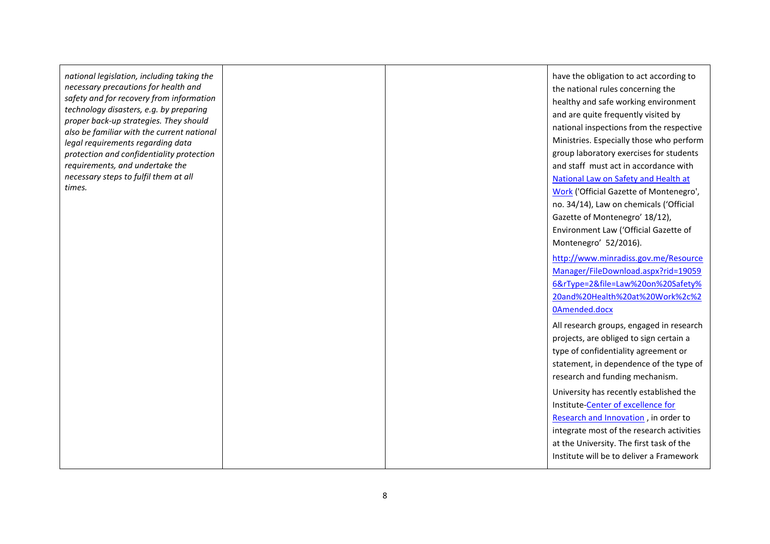*national legislation, including taking the necessary precautions for health and safety and for recovery from information technology disasters, e.g. by preparing proper back -up strategies. They should also be familiar with the current national legal requirements regarding data protection and confidentiality protection requirements, and undertake the necessary steps to fulfil them at all times.*

have the obligation to act according to the national rules concerning the healthy and safe working environment and are quite frequently visited by national inspections from the respective Ministries. Especially those who perform group laboratory exercises for students and staff must act in accordance with [National Law on Safety and Health at](http://www.minradiss.gov.me/en/library/zakoni?alphabet=lat)  [Work](http://www.minradiss.gov.me/en/library/zakoni?alphabet=lat) ('Official Gazette of Montenegro', no. 34/14 ), Law on chemicals ('Official Gazette of Montenegro' 18/12 ), Environment Law ('Official Gazette of Montenegro' 52/2016). [http://www.minradiss.gov.me/Resource](http://www.minradiss.gov.me/ResourceManager/FileDownload.aspx?rid=190596&rType=2&file=Law%20on%20Safety%20and%20Health%20at%20Work%2c%20Amended.docx) [Manager/FileDownload.aspx?rid=19059](http://www.minradiss.gov.me/ResourceManager/FileDownload.aspx?rid=190596&rType=2&file=Law%20on%20Safety%20and%20Health%20at%20Work%2c%20Amended.docx) [6&rType=2&file=Law%20on%20Safety%](http://www.minradiss.gov.me/ResourceManager/FileDownload.aspx?rid=190596&rType=2&file=Law%20on%20Safety%20and%20Health%20at%20Work%2c%20Amended.docx) [20and%20Health%20at%20Work%2c%2](http://www.minradiss.gov.me/ResourceManager/FileDownload.aspx?rid=190596&rType=2&file=Law%20on%20Safety%20and%20Health%20at%20Work%2c%20Amended.docx) [0Amended.docx](http://www.minradiss.gov.me/ResourceManager/FileDownload.aspx?rid=190596&rType=2&file=Law%20on%20Safety%20and%20Health%20at%20Work%2c%20Amended.docx) All research groups, engaged in research projects, are obliged to sign certain <sup>a</sup> type of confidentiality agreement or statement, in dependence of the type of research and funding mechanism. University has recently established the Institute-**Center of excellence for** [Research and Innovation](https://www.ucg.ac.me/skladiste/blog_6/objava_3722/fajlovi/Centre%20of%20Excellence%20for%20Research%20and%20Innovation.pdf) , in order to integrate most of the research activities at the University. The first task of the Institute will be to deliver a Framework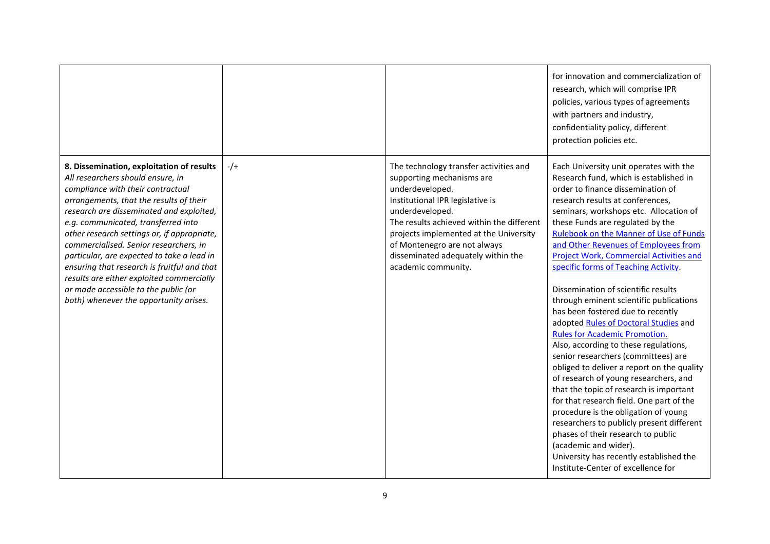|                                                                                                                                                                                                                                                                                                                                                                                                                                                                                                                                                                        |       |                                                                                                                                                                                                                                                                                                                                   | for innovation and commercialization of<br>research, which will comprise IPR<br>policies, various types of agreements<br>with partners and industry,<br>confidentiality policy, different<br>protection policies etc.                                                                                                                                                                                                                                                                                                                                                                                                                                                                                                                                                                                                                                                                                                                                                                                                                                                                                                          |
|------------------------------------------------------------------------------------------------------------------------------------------------------------------------------------------------------------------------------------------------------------------------------------------------------------------------------------------------------------------------------------------------------------------------------------------------------------------------------------------------------------------------------------------------------------------------|-------|-----------------------------------------------------------------------------------------------------------------------------------------------------------------------------------------------------------------------------------------------------------------------------------------------------------------------------------|--------------------------------------------------------------------------------------------------------------------------------------------------------------------------------------------------------------------------------------------------------------------------------------------------------------------------------------------------------------------------------------------------------------------------------------------------------------------------------------------------------------------------------------------------------------------------------------------------------------------------------------------------------------------------------------------------------------------------------------------------------------------------------------------------------------------------------------------------------------------------------------------------------------------------------------------------------------------------------------------------------------------------------------------------------------------------------------------------------------------------------|
| 8. Dissemination, exploitation of results<br>All researchers should ensure, in<br>compliance with their contractual<br>arrangements, that the results of their<br>research are disseminated and exploited,<br>e.g. communicated, transferred into<br>other research settings or, if appropriate,<br>commercialised. Senior researchers, in<br>particular, are expected to take a lead in<br>ensuring that research is fruitful and that<br>results are either exploited commercially<br>or made accessible to the public (or<br>both) whenever the opportunity arises. | $-/-$ | The technology transfer activities and<br>supporting mechanisms are<br>underdeveloped.<br>Institutional IPR legislative is<br>underdeveloped.<br>The results achieved within the different<br>projects implemented at the University<br>of Montenegro are not always<br>disseminated adequately within the<br>academic community. | Each University unit operates with the<br>Research fund, which is established in<br>order to finance dissemination of<br>research results at conferences,<br>seminars, workshops etc. Allocation of<br>these Funds are regulated by the<br><b>Rulebook on the Manner of Use of Funds</b><br>and Other Revenues of Employees from<br><b>Project Work, Commercial Activities and</b><br>specific forms of Teaching Activity.<br>Dissemination of scientific results<br>through eminent scientific publications<br>has been fostered due to recently<br>adopted Rules of Doctoral Studies and<br>Rules for Academic Promotion.<br>Also, according to these regulations,<br>senior researchers (committees) are<br>obliged to deliver a report on the quality<br>of research of young researchers, and<br>that the topic of research is important<br>for that research field. One part of the<br>procedure is the obligation of young<br>researchers to publicly present different<br>phases of their research to public<br>(academic and wider).<br>University has recently established the<br>Institute-Center of excellence for |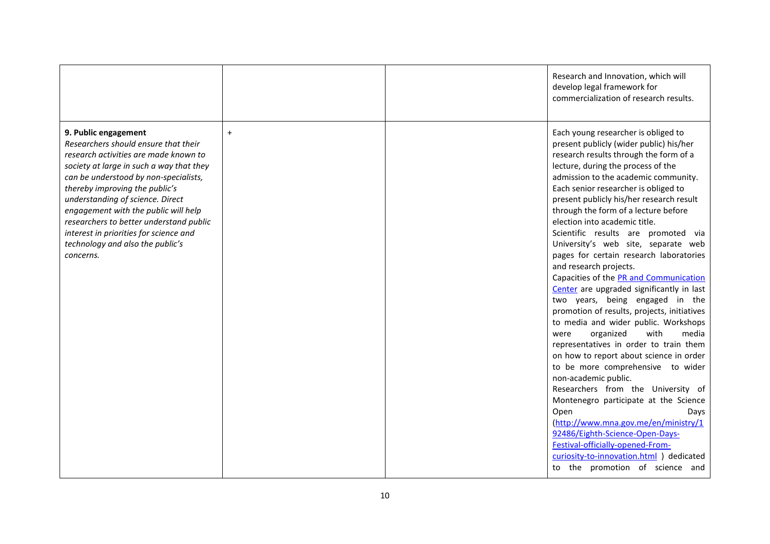|                                                                                                                                                                                                                                                                                                                                                                                                                                                |           | Research and Innovation, which will<br>develop legal framework for<br>commercialization of research results.                                                                                                                                                                                                                                                                                                                                                                                                                                                                                                                                                                                                                                                                                                                                                                                                                                                                                                                                                                                                                                                                                                                 |
|------------------------------------------------------------------------------------------------------------------------------------------------------------------------------------------------------------------------------------------------------------------------------------------------------------------------------------------------------------------------------------------------------------------------------------------------|-----------|------------------------------------------------------------------------------------------------------------------------------------------------------------------------------------------------------------------------------------------------------------------------------------------------------------------------------------------------------------------------------------------------------------------------------------------------------------------------------------------------------------------------------------------------------------------------------------------------------------------------------------------------------------------------------------------------------------------------------------------------------------------------------------------------------------------------------------------------------------------------------------------------------------------------------------------------------------------------------------------------------------------------------------------------------------------------------------------------------------------------------------------------------------------------------------------------------------------------------|
| 9. Public engagement<br>Researchers should ensure that their<br>research activities are made known to<br>society at large in such a way that they<br>can be understood by non-specialists,<br>thereby improving the public's<br>understanding of science. Direct<br>engagement with the public will help<br>researchers to better understand public<br>interest in priorities for science and<br>technology and also the public's<br>concerns. | $\ddot{}$ | Each young researcher is obliged to<br>present publicly (wider public) his/her<br>research results through the form of a<br>lecture, during the process of the<br>admission to the academic community.<br>Each senior researcher is obliged to<br>present publicly his/her research result<br>through the form of a lecture before<br>election into academic title.<br>Scientific results are promoted via<br>University's web site, separate web<br>pages for certain research laboratories<br>and research projects.<br>Capacities of the PR and Communication<br>Center are upgraded significantly in last<br>two years, being engaged in the<br>promotion of results, projects, initiatives<br>to media and wider public. Workshops<br>with<br>organized<br>media<br>were<br>representatives in order to train them<br>on how to report about science in order<br>to be more comprehensive to wider<br>non-academic public.<br>Researchers from the University of<br>Montenegro participate at the Science<br>Open<br>Days<br>(http://www.mna.gov.me/en/ministry/1<br>92486/Eighth-Science-Open-Days-<br>Festival-officially-opened-From-<br>curiosity-to-innovation.html ) dedicated<br>to the promotion of science and |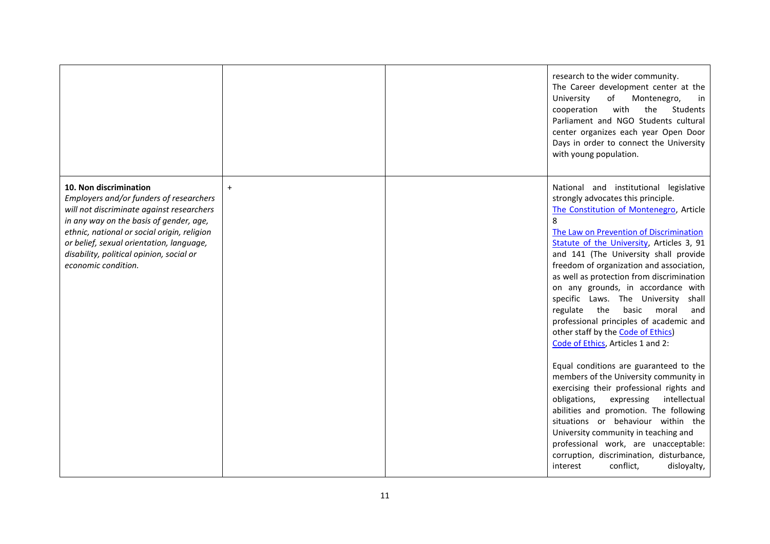|                                                                                                                                                                                                                                                                                                                         |           | research to the wider community.<br>The Career development center at the<br>of<br>University<br>Montenegro,<br>in<br>with<br>the<br>Students<br>cooperation<br>Parliament and NGO Students cultural<br>center organizes each year Open Door<br>Days in order to connect the University<br>with young population.                                                                                                                                                                                                                                                                                                                                                                                                                                                                                                                                                                                                                                                                                                                           |
|-------------------------------------------------------------------------------------------------------------------------------------------------------------------------------------------------------------------------------------------------------------------------------------------------------------------------|-----------|--------------------------------------------------------------------------------------------------------------------------------------------------------------------------------------------------------------------------------------------------------------------------------------------------------------------------------------------------------------------------------------------------------------------------------------------------------------------------------------------------------------------------------------------------------------------------------------------------------------------------------------------------------------------------------------------------------------------------------------------------------------------------------------------------------------------------------------------------------------------------------------------------------------------------------------------------------------------------------------------------------------------------------------------|
| 10. Non discrimination<br>Employers and/or funders of researchers<br>will not discriminate against researchers<br>in any way on the basis of gender, age,<br>ethnic, national or social origin, religion<br>or belief, sexual orientation, language,<br>disability, political opinion, social or<br>economic condition. | $\ddot{}$ | National and institutional legislative<br>strongly advocates this principle.<br>The Constitution of Montenegro, Article<br>8<br>The Law on Prevention of Discrimination<br>Statute of the University, Articles 3, 91<br>and 141 (The University shall provide<br>freedom of organization and association,<br>as well as protection from discrimination<br>on any grounds, in accordance with<br>specific Laws. The University<br>shall<br>the<br>regulate<br>basic<br>moral<br>and<br>professional principles of academic and<br>other staff by the Code of Ethics)<br>Code of Ethics, Articles 1 and 2:<br>Equal conditions are guaranteed to the<br>members of the University community in<br>exercising their professional rights and<br>obligations,<br>expressing<br>intellectual<br>abilities and promotion. The following<br>situations or behaviour within the<br>University community in teaching and<br>professional work, are unacceptable:<br>corruption, discrimination, disturbance,<br>conflict,<br>disloyalty,<br>interest |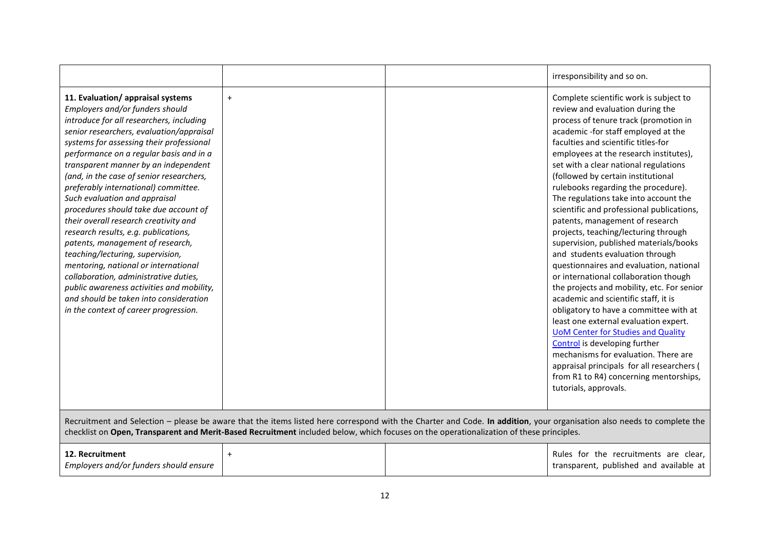|                                                                                                                                                                                                                                                                                                                                                                                                                                                                                                                                                                                                                                                                                                                                                                                                                                     |           |  | irresponsibility and so on.                                                                                                                                                                                                                                                                                                                                                                                                                                                                                                                                                                                                                                                                                                                                                                                                                                                                                                                                                                                                                                                                                         |
|-------------------------------------------------------------------------------------------------------------------------------------------------------------------------------------------------------------------------------------------------------------------------------------------------------------------------------------------------------------------------------------------------------------------------------------------------------------------------------------------------------------------------------------------------------------------------------------------------------------------------------------------------------------------------------------------------------------------------------------------------------------------------------------------------------------------------------------|-----------|--|---------------------------------------------------------------------------------------------------------------------------------------------------------------------------------------------------------------------------------------------------------------------------------------------------------------------------------------------------------------------------------------------------------------------------------------------------------------------------------------------------------------------------------------------------------------------------------------------------------------------------------------------------------------------------------------------------------------------------------------------------------------------------------------------------------------------------------------------------------------------------------------------------------------------------------------------------------------------------------------------------------------------------------------------------------------------------------------------------------------------|
| 11. Evaluation/ appraisal systems<br>Employers and/or funders should<br>introduce for all researchers, including<br>senior researchers, evaluation/appraisal<br>systems for assessing their professional<br>performance on a regular basis and in a<br>transparent manner by an independent<br>(and, in the case of senior researchers,<br>preferably international) committee.<br>Such evaluation and appraisal<br>procedures should take due account of<br>their overall research creativity and<br>research results, e.g. publications,<br>patents, management of research,<br>teaching/lecturing, supervision,<br>mentoring, national or international<br>collaboration, administrative duties,<br>public awareness activities and mobility,<br>and should be taken into consideration<br>in the context of career progression. | $\ddot{}$ |  | Complete scientific work is subject to<br>review and evaluation during the<br>process of tenure track (promotion in<br>academic -for staff employed at the<br>faculties and scientific titles-for<br>employees at the research institutes),<br>set with a clear national regulations<br>(followed by certain institutional<br>rulebooks regarding the procedure).<br>The regulations take into account the<br>scientific and professional publications,<br>patents, management of research<br>projects, teaching/lecturing through<br>supervision, published materials/books<br>and students evaluation through<br>questionnaires and evaluation, national<br>or international collaboration though<br>the projects and mobility, etc. For senior<br>academic and scientific staff, it is<br>obligatory to have a committee with at<br>least one external evaluation expert.<br><b>UoM Center for Studies and Quality</b><br>Control is developing further<br>mechanisms for evaluation. There are<br>appraisal principals for all researchers (<br>from R1 to R4) concerning mentorships,<br>tutorials, approvals. |
| Recruitment and Selection - please be aware that the items listed here correspond with the Charter and Code. In addition, your organisation also needs to complete the<br>checklist on Open, Transparent and Merit-Based Recruitment included below, which focuses on the operationalization of these principles.                                                                                                                                                                                                                                                                                                                                                                                                                                                                                                                   |           |  |                                                                                                                                                                                                                                                                                                                                                                                                                                                                                                                                                                                                                                                                                                                                                                                                                                                                                                                                                                                                                                                                                                                     |
| 12. Recruitment<br>Employers and/or funders should ensure                                                                                                                                                                                                                                                                                                                                                                                                                                                                                                                                                                                                                                                                                                                                                                           | $\ddot{}$ |  | Rules for the recruitments are clear,<br>transparent, published and available at                                                                                                                                                                                                                                                                                                                                                                                                                                                                                                                                                                                                                                                                                                                                                                                                                                                                                                                                                                                                                                    |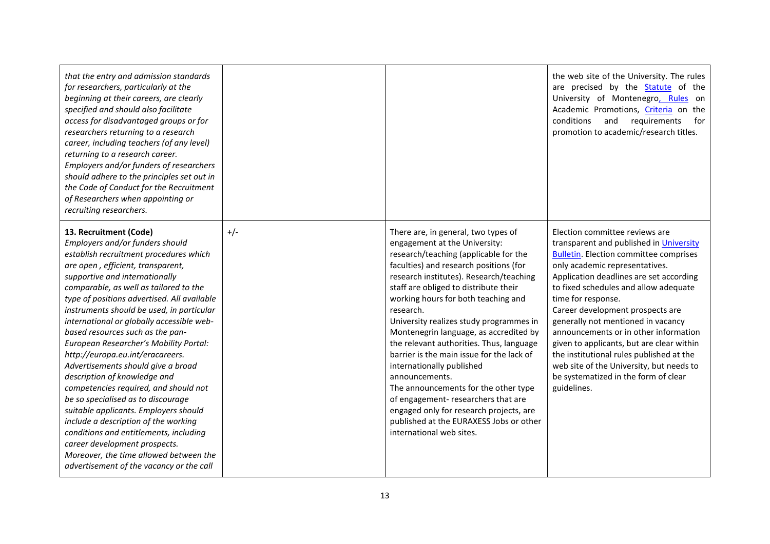| that the entry and admission standards<br>for researchers, particularly at the<br>beginning at their careers, are clearly<br>specified and should also facilitate<br>access for disadvantaged groups or for<br>researchers returning to a research<br>career, including teachers (of any level)<br>returning to a research career.<br>Employers and/or funders of researchers<br>should adhere to the principles set out in<br>the Code of Conduct for the Recruitment<br>of Researchers when appointing or<br>recruiting researchers.                                                                                                                                                                                                                                                                                                                                                 |       |                                                                                                                                                                                                                                                                                                                                                                                                                                                                                                                                                                                                                                                                                                                              | the web site of the University. The rules<br>are precised by the <b>Statute</b> of the<br>University of Montenegro, Rules on<br>Academic Promotions, Criteria on the<br>requirements<br>conditions<br>and<br>for<br>promotion to academic/research titles.                                                                                                                                                                                                                                                                                                                            |
|----------------------------------------------------------------------------------------------------------------------------------------------------------------------------------------------------------------------------------------------------------------------------------------------------------------------------------------------------------------------------------------------------------------------------------------------------------------------------------------------------------------------------------------------------------------------------------------------------------------------------------------------------------------------------------------------------------------------------------------------------------------------------------------------------------------------------------------------------------------------------------------|-------|------------------------------------------------------------------------------------------------------------------------------------------------------------------------------------------------------------------------------------------------------------------------------------------------------------------------------------------------------------------------------------------------------------------------------------------------------------------------------------------------------------------------------------------------------------------------------------------------------------------------------------------------------------------------------------------------------------------------------|---------------------------------------------------------------------------------------------------------------------------------------------------------------------------------------------------------------------------------------------------------------------------------------------------------------------------------------------------------------------------------------------------------------------------------------------------------------------------------------------------------------------------------------------------------------------------------------|
| 13. Recruitment (Code)<br>Employers and/or funders should<br>establish recruitment procedures which<br>are open, efficient, transparent,<br>supportive and internationally<br>comparable, as well as tailored to the<br>type of positions advertised. All available<br>instruments should be used, in particular<br>international or globally accessible web-<br>based resources such as the pan-<br>European Researcher's Mobility Portal:<br>http://europa.eu.int/eracareers.<br>Advertisements should give a broad<br>description of knowledge and<br>competencies required, and should not<br>be so specialised as to discourage<br>suitable applicants. Employers should<br>include a description of the working<br>conditions and entitlements, including<br>career development prospects.<br>Moreover, the time allowed between the<br>advertisement of the vacancy or the call | $+/-$ | There are, in general, two types of<br>engagement at the University:<br>research/teaching (applicable for the<br>faculties) and research positions (for<br>research institutes). Research/teaching<br>staff are obliged to distribute their<br>working hours for both teaching and<br>research.<br>University realizes study programmes in<br>Montenegrin language, as accredited by<br>the relevant authorities. Thus, language<br>barrier is the main issue for the lack of<br>internationally published<br>announcements.<br>The announcements for the other type<br>of engagement-researchers that are<br>engaged only for research projects, are<br>published at the EURAXESS Jobs or other<br>international web sites. | Election committee reviews are<br>transparent and published in University<br><b>Bulletin.</b> Election committee comprises<br>only academic representatives.<br>Application deadlines are set according<br>to fixed schedules and allow adequate<br>time for response.<br>Career development prospects are<br>generally not mentioned in vacancy<br>announcements or in other information<br>given to applicants, but are clear within<br>the institutional rules published at the<br>web site of the University, but needs to<br>be systematized in the form of clear<br>guidelines. |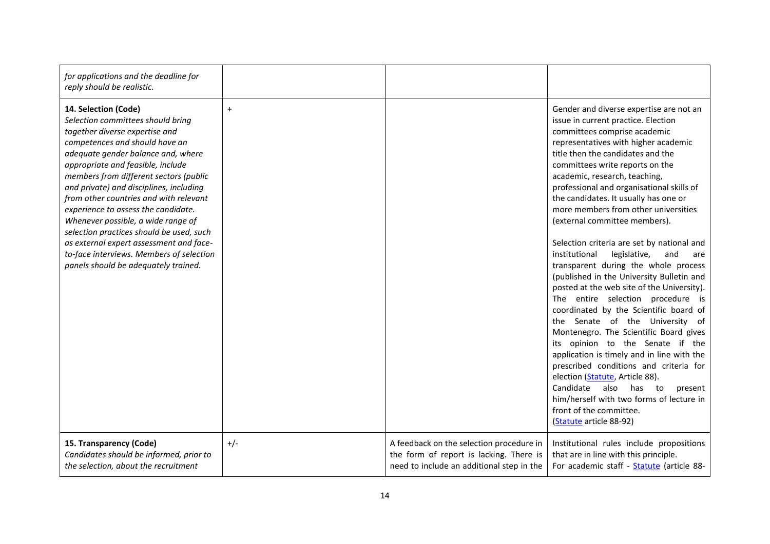| for applications and the deadline for<br>reply should be realistic.                                                                                                                                                                                                                                                                                                                                                                                                                                                                                                                             |           |                                                                                                                                  |                                                                                                                                                                                                                                                                                                                                                                                                                                                                                                                                                                                                                                                                                                                                                                                                                                                                                                                                                                                                                                                                                                                                 |
|-------------------------------------------------------------------------------------------------------------------------------------------------------------------------------------------------------------------------------------------------------------------------------------------------------------------------------------------------------------------------------------------------------------------------------------------------------------------------------------------------------------------------------------------------------------------------------------------------|-----------|----------------------------------------------------------------------------------------------------------------------------------|---------------------------------------------------------------------------------------------------------------------------------------------------------------------------------------------------------------------------------------------------------------------------------------------------------------------------------------------------------------------------------------------------------------------------------------------------------------------------------------------------------------------------------------------------------------------------------------------------------------------------------------------------------------------------------------------------------------------------------------------------------------------------------------------------------------------------------------------------------------------------------------------------------------------------------------------------------------------------------------------------------------------------------------------------------------------------------------------------------------------------------|
| 14. Selection (Code)<br>Selection committees should bring<br>together diverse expertise and<br>competences and should have an<br>adequate gender balance and, where<br>appropriate and feasible, include<br>members from different sectors (public<br>and private) and disciplines, including<br>from other countries and with relevant<br>experience to assess the candidate.<br>Whenever possible, a wide range of<br>selection practices should be used, such<br>as external expert assessment and face-<br>to-face interviews. Members of selection<br>panels should be adequately trained. | $\ddot{}$ |                                                                                                                                  | Gender and diverse expertise are not an<br>issue in current practice. Election<br>committees comprise academic<br>representatives with higher academic<br>title then the candidates and the<br>committees write reports on the<br>academic, research, teaching,<br>professional and organisational skills of<br>the candidates. It usually has one or<br>more members from other universities<br>(external committee members).<br>Selection criteria are set by national and<br>institutional<br>legislative,<br>and<br>are<br>transparent during the whole process<br>(published in the University Bulletin and<br>posted at the web site of the University).<br>The entire selection procedure is<br>coordinated by the Scientific board of<br>the Senate of the University of<br>Montenegro. The Scientific Board gives<br>its opinion to the Senate if the<br>application is timely and in line with the<br>prescribed conditions and criteria for<br>election (Statute, Article 88).<br>Candidate also has to<br>present<br>him/herself with two forms of lecture in<br>front of the committee.<br>(Statute article 88-92) |
| 15. Transparency (Code)<br>Candidates should be informed, prior to<br>the selection, about the recruitment                                                                                                                                                                                                                                                                                                                                                                                                                                                                                      | $+/-$     | A feedback on the selection procedure in<br>the form of report is lacking. There is<br>need to include an additional step in the | Institutional rules include propositions<br>that are in line with this principle.<br>For academic staff - Statute (article 88-                                                                                                                                                                                                                                                                                                                                                                                                                                                                                                                                                                                                                                                                                                                                                                                                                                                                                                                                                                                                  |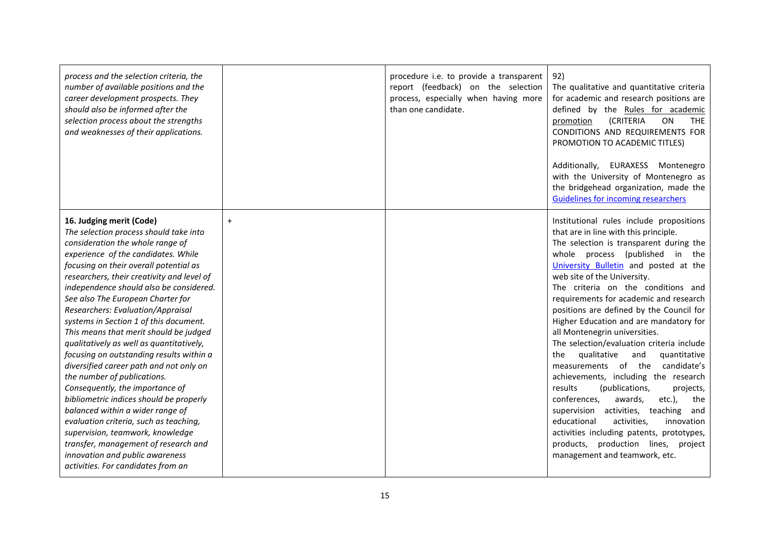| process and the selection criteria, the<br>number of available positions and the<br>career development prospects. They<br>should also be informed after the<br>selection process about the strengths<br>and weaknesses of their applications.                                                                                                                                                                                                                                                                                                                                                                                                                                                                                                                                                                                                                                                                                     |           | procedure i.e. to provide a transparent<br>report (feedback) on the selection<br>process, especially when having more<br>than one candidate. | 92)<br>The qualitative and quantitative criteria<br>for academic and research positions are<br>defined by the Rules for academic<br>(CRITERIA<br>ON<br><b>THE</b><br>promotion<br>CONDITIONS AND REQUIREMENTS FOR<br>PROMOTION TO ACADEMIC TITLES)<br>Additionally, EURAXESS Montenegro<br>with the University of Montenegro as<br>the bridgehead organization, made the<br><b>Guidelines for incoming researchers</b>                                                                                                                                                                                                                                                                                                                                                                                                                                                                                                         |
|-----------------------------------------------------------------------------------------------------------------------------------------------------------------------------------------------------------------------------------------------------------------------------------------------------------------------------------------------------------------------------------------------------------------------------------------------------------------------------------------------------------------------------------------------------------------------------------------------------------------------------------------------------------------------------------------------------------------------------------------------------------------------------------------------------------------------------------------------------------------------------------------------------------------------------------|-----------|----------------------------------------------------------------------------------------------------------------------------------------------|--------------------------------------------------------------------------------------------------------------------------------------------------------------------------------------------------------------------------------------------------------------------------------------------------------------------------------------------------------------------------------------------------------------------------------------------------------------------------------------------------------------------------------------------------------------------------------------------------------------------------------------------------------------------------------------------------------------------------------------------------------------------------------------------------------------------------------------------------------------------------------------------------------------------------------|
| 16. Judging merit (Code)<br>The selection process should take into<br>consideration the whole range of<br>experience of the candidates. While<br>focusing on their overall potential as<br>researchers, their creativity and level of<br>independence should also be considered.<br>See also The European Charter for<br>Researchers: Evaluation/Appraisal<br>systems in Section 1 of this document.<br>This means that merit should be judged<br>qualitatively as well as quantitatively,<br>focusing on outstanding results within a<br>diversified career path and not only on<br>the number of publications.<br>Consequently, the importance of<br>bibliometric indices should be properly<br>balanced within a wider range of<br>evaluation criteria, such as teaching,<br>supervision, teamwork, knowledge<br>transfer, management of research and<br>innovation and public awareness<br>activities. For candidates from an | $\ddot{}$ |                                                                                                                                              | Institutional rules include propositions<br>that are in line with this principle.<br>The selection is transparent during the<br>whole process (published<br>in<br>the<br>University Bulletin and posted at the<br>web site of the University.<br>The criteria on the conditions and<br>requirements for academic and research<br>positions are defined by the Council for<br>Higher Education and are mandatory for<br>all Montenegrin universities.<br>The selection/evaluation criteria include<br>qualitative<br>quantitative<br>the<br>and<br>measurements of the<br>candidate's<br>achievements, including the research<br>results<br>(publications,<br>projects,<br>conferences,<br>etc.),<br>awards,<br>the<br>supervision activities, teaching<br>and<br>educational<br>activities,<br>innovation<br>activities including patents, prototypes,<br>products, production lines, project<br>management and teamwork, etc. |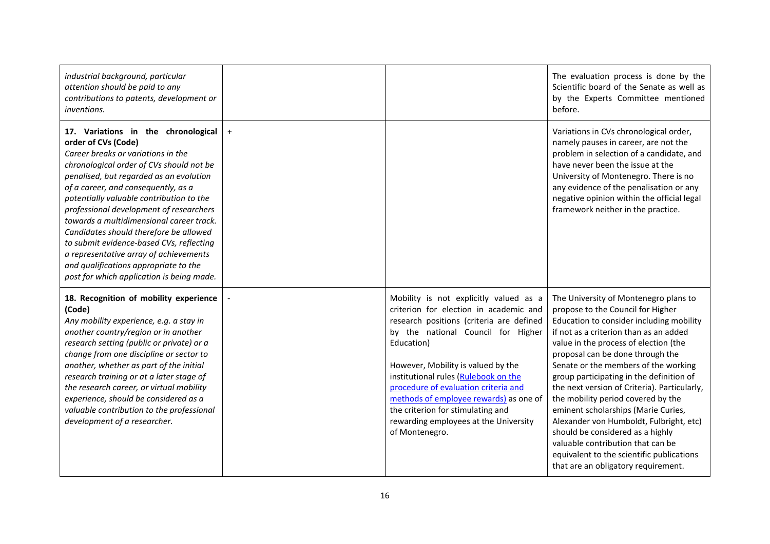| industrial background, particular<br>attention should be paid to any<br>contributions to patents, development or<br>inventions.                                                                                                                                                                                                                                                                                                                                                                                                                                                         |           |                                                                                                                                                                                                                                                                                                                                                                                                                                                  | The evaluation process is done by the<br>Scientific board of the Senate as well as<br>by the Experts Committee mentioned<br>before.                                                                                                                                                                                                                                                                                                                                                                                                                                                                                                                                    |
|-----------------------------------------------------------------------------------------------------------------------------------------------------------------------------------------------------------------------------------------------------------------------------------------------------------------------------------------------------------------------------------------------------------------------------------------------------------------------------------------------------------------------------------------------------------------------------------------|-----------|--------------------------------------------------------------------------------------------------------------------------------------------------------------------------------------------------------------------------------------------------------------------------------------------------------------------------------------------------------------------------------------------------------------------------------------------------|------------------------------------------------------------------------------------------------------------------------------------------------------------------------------------------------------------------------------------------------------------------------------------------------------------------------------------------------------------------------------------------------------------------------------------------------------------------------------------------------------------------------------------------------------------------------------------------------------------------------------------------------------------------------|
| 17. Variations in the chronological<br>order of CVs (Code)<br>Career breaks or variations in the<br>chronological order of CVs should not be<br>penalised, but regarded as an evolution<br>of a career, and consequently, as a<br>potentially valuable contribution to the<br>professional development of researchers<br>towards a multidimensional career track.<br>Candidates should therefore be allowed<br>to submit evidence-based CVs, reflecting<br>a representative array of achievements<br>and qualifications appropriate to the<br>post for which application is being made. | $\ddot{}$ |                                                                                                                                                                                                                                                                                                                                                                                                                                                  | Variations in CVs chronological order,<br>namely pauses in career, are not the<br>problem in selection of a candidate, and<br>have never been the issue at the<br>University of Montenegro. There is no<br>any evidence of the penalisation or any<br>negative opinion within the official legal<br>framework neither in the practice.                                                                                                                                                                                                                                                                                                                                 |
| 18. Recognition of mobility experience<br>(Code)<br>Any mobility experience, e.g. a stay in<br>another country/region or in another<br>research setting (public or private) or a<br>change from one discipline or sector to<br>another, whether as part of the initial<br>research training or at a later stage of<br>the research career, or virtual mobility<br>experience, should be considered as a<br>valuable contribution to the professional<br>development of a researcher.                                                                                                    |           | Mobility is not explicitly valued as a<br>criterion for election in academic and<br>research positions (criteria are defined<br>by the national Council for Higher<br>Education)<br>However, Mobility is valued by the<br>institutional rules (Rulebook on the<br>procedure of evaluation criteria and<br>methods of employee rewards) as one of<br>the criterion for stimulating and<br>rewarding employees at the University<br>of Montenegro. | The University of Montenegro plans to<br>propose to the Council for Higher<br>Education to consider including mobility<br>if not as a criterion than as an added<br>value in the process of election (the<br>proposal can be done through the<br>Senate or the members of the working<br>group participating in the definition of<br>the next version of Criteria). Particularly,<br>the mobility period covered by the<br>eminent scholarships (Marie Curies,<br>Alexander von Humboldt, Fulbright, etc)<br>should be considered as a highly<br>valuable contribution that can be<br>equivalent to the scientific publications<br>that are an obligatory requirement. |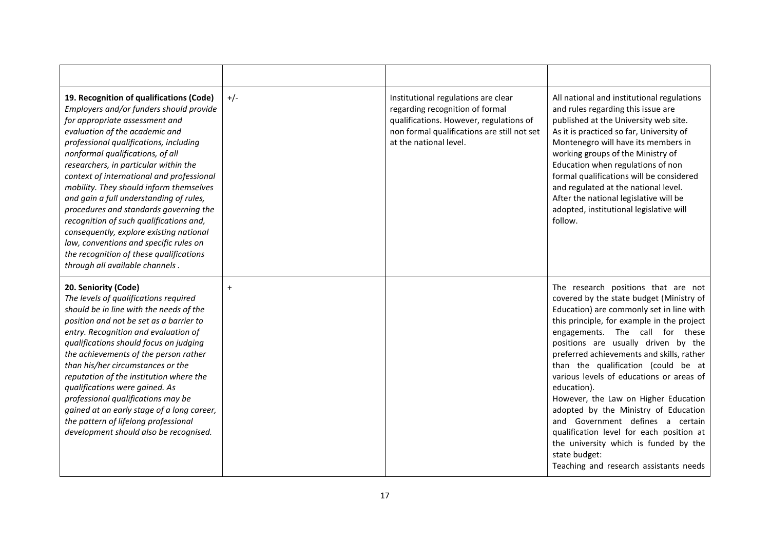| 19. Recognition of qualifications (Code)<br>Employers and/or funders should provide<br>for appropriate assessment and<br>evaluation of the academic and<br>professional qualifications, including<br>nonformal qualifications, of all<br>researchers, in particular within the<br>context of international and professional<br>mobility. They should inform themselves<br>and gain a full understanding of rules,<br>procedures and standards governing the<br>recognition of such qualifications and,<br>consequently, explore existing national<br>law, conventions and specific rules on<br>the recognition of these qualifications<br>through all available channels. | $+/-$     | Institutional regulations are clear<br>regarding recognition of formal<br>qualifications. However, regulations of<br>non formal qualifications are still not set<br>at the national level. | All national and institutional regulations<br>and rules regarding this issue are<br>published at the University web site.<br>As it is practiced so far, University of<br>Montenegro will have its members in<br>working groups of the Ministry of<br>Education when regulations of non<br>formal qualifications will be considered<br>and regulated at the national level.<br>After the national legislative will be<br>adopted, institutional legislative will<br>follow.                                                                                                                                                                                             |
|---------------------------------------------------------------------------------------------------------------------------------------------------------------------------------------------------------------------------------------------------------------------------------------------------------------------------------------------------------------------------------------------------------------------------------------------------------------------------------------------------------------------------------------------------------------------------------------------------------------------------------------------------------------------------|-----------|--------------------------------------------------------------------------------------------------------------------------------------------------------------------------------------------|------------------------------------------------------------------------------------------------------------------------------------------------------------------------------------------------------------------------------------------------------------------------------------------------------------------------------------------------------------------------------------------------------------------------------------------------------------------------------------------------------------------------------------------------------------------------------------------------------------------------------------------------------------------------|
| 20. Seniority (Code)<br>The levels of qualifications required<br>should be in line with the needs of the<br>position and not be set as a barrier to<br>entry. Recognition and evaluation of<br>qualifications should focus on judging<br>the achievements of the person rather<br>than his/her circumstances or the<br>reputation of the institution where the<br>qualifications were gained. As<br>professional qualifications may be<br>gained at an early stage of a long career,<br>the pattern of lifelong professional<br>development should also be recognised.                                                                                                    | $\ddot{}$ |                                                                                                                                                                                            | The research positions that are not<br>covered by the state budget (Ministry of<br>Education) are commonly set in line with<br>this principle, for example in the project<br>engagements. The call for these<br>positions are usually driven by the<br>preferred achievements and skills, rather<br>than the qualification (could be at<br>various levels of educations or areas of<br>education).<br>However, the Law on Higher Education<br>adopted by the Ministry of Education<br>and Government defines a certain<br>qualification level for each position at<br>the university which is funded by the<br>state budget:<br>Teaching and research assistants needs |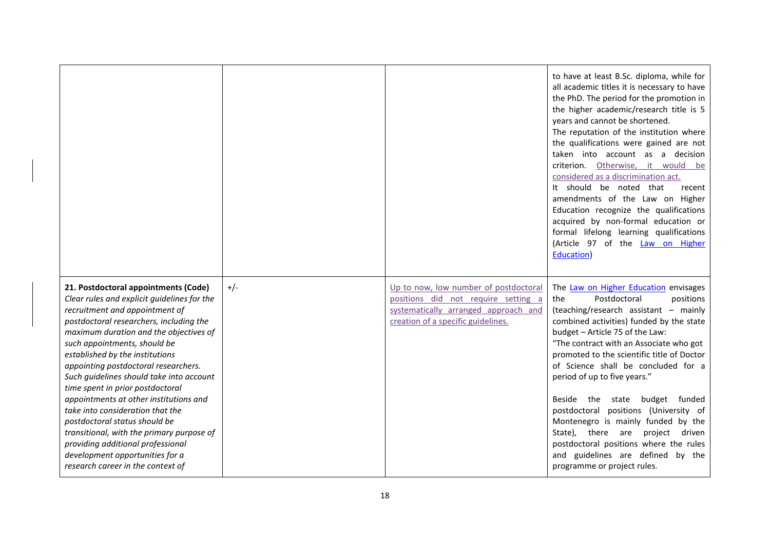|                                                                                                                                                                                                                                                                                                                                                                                                                                                                                                                                                                                                                                                                                |       |                                                                                                                                                            | to have at least B.Sc. diploma, while for<br>all academic titles it is necessary to have<br>the PhD. The period for the promotion in<br>the higher academic/research title is 5<br>years and cannot be shortened.<br>The reputation of the institution where<br>the qualifications were gained are not<br>taken into account as a decision<br>criterion. Otherwise, it would be<br>considered as a discrimination act.<br>It should be noted that<br>recent<br>amendments of the Law on Higher<br>Education recognize the qualifications<br>acquired by non-formal education or<br>formal lifelong learning qualifications<br>(Article 97 of the Law on Higher<br>Education) |
|--------------------------------------------------------------------------------------------------------------------------------------------------------------------------------------------------------------------------------------------------------------------------------------------------------------------------------------------------------------------------------------------------------------------------------------------------------------------------------------------------------------------------------------------------------------------------------------------------------------------------------------------------------------------------------|-------|------------------------------------------------------------------------------------------------------------------------------------------------------------|------------------------------------------------------------------------------------------------------------------------------------------------------------------------------------------------------------------------------------------------------------------------------------------------------------------------------------------------------------------------------------------------------------------------------------------------------------------------------------------------------------------------------------------------------------------------------------------------------------------------------------------------------------------------------|
| 21. Postdoctoral appointments (Code)<br>Clear rules and explicit guidelines for the<br>recruitment and appointment of<br>postdoctoral researchers, including the<br>maximum duration and the objectives of<br>such appointments, should be<br>established by the institutions<br>appointing postdoctoral researchers.<br>Such guidelines should take into account<br>time spent in prior postdoctoral<br>appointments at other institutions and<br>take into consideration that the<br>postdoctoral status should be<br>transitional, with the primary purpose of<br>providing additional professional<br>development opportunities for a<br>research career in the context of | $+/-$ | Up to now, low number of postdoctoral<br>positions did not require setting a<br>systematically arranged approach and<br>creation of a specific guidelines. | The Law on Higher Education envisages<br>Postdoctoral<br>the<br>positions<br>(teaching/research assistant - mainly<br>combined activities) funded by the state<br>budget - Article 75 of the Law:<br>"The contract with an Associate who got<br>promoted to the scientific title of Doctor<br>of Science shall be concluded for a<br>period of up to five years."<br>Beside<br>the<br>budget funded<br>state<br>postdoctoral positions (University of<br>Montenegro is mainly funded by the<br>State), there are<br>project<br>driven<br>postdoctoral positions where the rules<br>and guidelines are defined by the<br>programme or project rules.                          |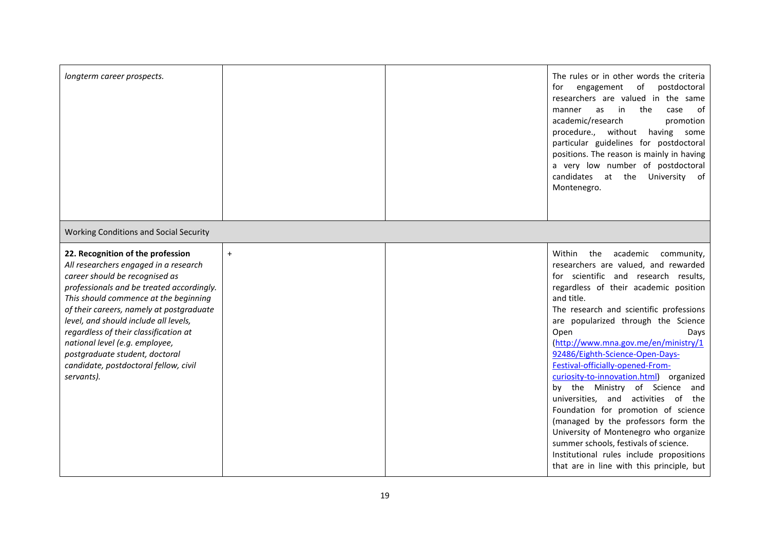| longterm career prospects.                                                                                                                                                                                                                                                                                                                                                                                                                                  |     | The rules or in other words the criteria<br>of<br>postdoctoral<br>for<br>engagement<br>researchers are valued in the same<br>the<br>case<br>manner<br>as<br>in<br>of<br>academic/research<br>promotion<br>procedure., without<br>having some<br>particular guidelines for postdoctoral<br>positions. The reason is mainly in having<br>a very low number of postdoctoral<br>candidates at the University of<br>Montenegro.                                                                                                                                                                                                                                                                                                                                                      |
|-------------------------------------------------------------------------------------------------------------------------------------------------------------------------------------------------------------------------------------------------------------------------------------------------------------------------------------------------------------------------------------------------------------------------------------------------------------|-----|---------------------------------------------------------------------------------------------------------------------------------------------------------------------------------------------------------------------------------------------------------------------------------------------------------------------------------------------------------------------------------------------------------------------------------------------------------------------------------------------------------------------------------------------------------------------------------------------------------------------------------------------------------------------------------------------------------------------------------------------------------------------------------|
| Working Conditions and Social Security                                                                                                                                                                                                                                                                                                                                                                                                                      |     |                                                                                                                                                                                                                                                                                                                                                                                                                                                                                                                                                                                                                                                                                                                                                                                 |
| 22. Recognition of the profession<br>All researchers engaged in a research<br>career should be recognised as<br>professionals and be treated accordingly.<br>This should commence at the beginning<br>of their careers, namely at postgraduate<br>level, and should include all levels,<br>regardless of their classification at<br>national level (e.g. employee,<br>postgraduate student, doctoral<br>candidate, postdoctoral fellow, civil<br>servants). | $+$ | Within<br>the<br>academic<br>community,<br>researchers are valued, and rewarded<br>for scientific and research results,<br>regardless of their academic position<br>and title.<br>The research and scientific professions<br>are popularized through the Science<br>Open<br>Days<br>(http://www.mna.gov.me/en/ministry/1<br>92486/Eighth-Science-Open-Days-<br>Festival-officially-opened-From-<br>curiosity-to-innovation.html) organized<br>by the Ministry of Science and<br>universities, and activities of<br>the<br>Foundation for promotion of science<br>(managed by the professors form the<br>University of Montenegro who organize<br>summer schools, festivals of science.<br>Institutional rules include propositions<br>that are in line with this principle, but |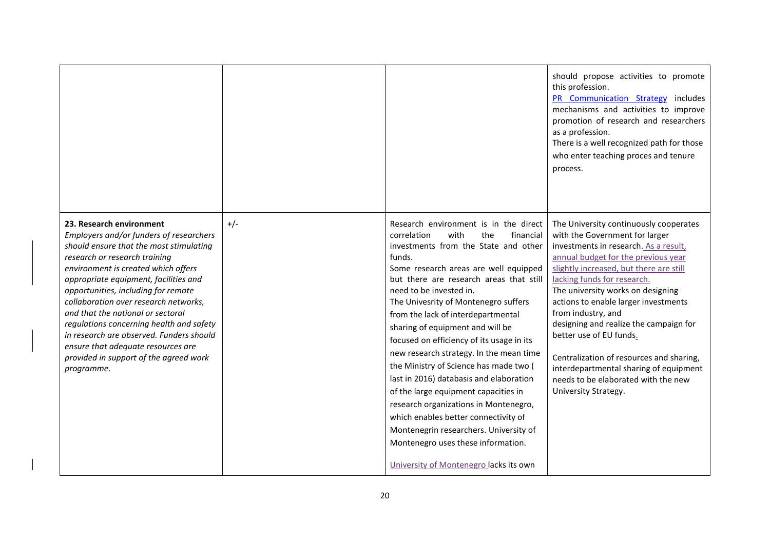|                                                                                                                                                                                                                                                                                                                                                                                                                                                                                                                                            |       |                                                                                                                                                                                                                                                                                                                                                                                                                                                                                                                                                                                                                                                                                                                                                                                                     | should propose activities to promote<br>this profession.<br>PR Communication Strategy includes<br>mechanisms and activities to improve<br>promotion of research and researchers<br>as a profession.<br>There is a well recognized path for those<br>who enter teaching proces and tenure<br>process.                                                                                                                                                                                                                                                            |
|--------------------------------------------------------------------------------------------------------------------------------------------------------------------------------------------------------------------------------------------------------------------------------------------------------------------------------------------------------------------------------------------------------------------------------------------------------------------------------------------------------------------------------------------|-------|-----------------------------------------------------------------------------------------------------------------------------------------------------------------------------------------------------------------------------------------------------------------------------------------------------------------------------------------------------------------------------------------------------------------------------------------------------------------------------------------------------------------------------------------------------------------------------------------------------------------------------------------------------------------------------------------------------------------------------------------------------------------------------------------------------|-----------------------------------------------------------------------------------------------------------------------------------------------------------------------------------------------------------------------------------------------------------------------------------------------------------------------------------------------------------------------------------------------------------------------------------------------------------------------------------------------------------------------------------------------------------------|
| 23. Research environment<br>Employers and/or funders of researchers<br>should ensure that the most stimulating<br>research or research training<br>environment is created which offers<br>appropriate equipment, facilities and<br>opportunities, including for remote<br>collaboration over research networks,<br>and that the national or sectoral<br>regulations concerning health and safety<br>in research are observed. Funders should<br>ensure that adequate resources are<br>provided in support of the agreed work<br>programme. | $+/-$ | Research environment is in the direct<br>correlation<br>with<br>the<br>financial<br>investments from the State and other<br>funds.<br>Some research areas are well equipped<br>but there are research areas that still<br>need to be invested in.<br>The Univesrity of Montenegro suffers<br>from the lack of interdepartmental<br>sharing of equipment and will be<br>focused on efficiency of its usage in its<br>new research strategy. In the mean time<br>the Ministry of Science has made two (<br>last in 2016) databasis and elaboration<br>of the large equipment capacities in<br>research organizations in Montenegro,<br>which enables better connectivity of<br>Montenegrin researchers. University of<br>Montenegro uses these information.<br>University of Montenegro lacks its own | The University continuously cooperates<br>with the Government for larger<br>investments in research. As a result,<br>annual budget for the previous year<br>slightly increased, but there are still<br>lacking funds for research.<br>The university works on designing<br>actions to enable larger investments<br>from industry, and<br>designing and realize the campaign for<br>better use of EU funds.<br>Centralization of resources and sharing,<br>interdepartmental sharing of equipment<br>needs to be elaborated with the new<br>University Strategy. |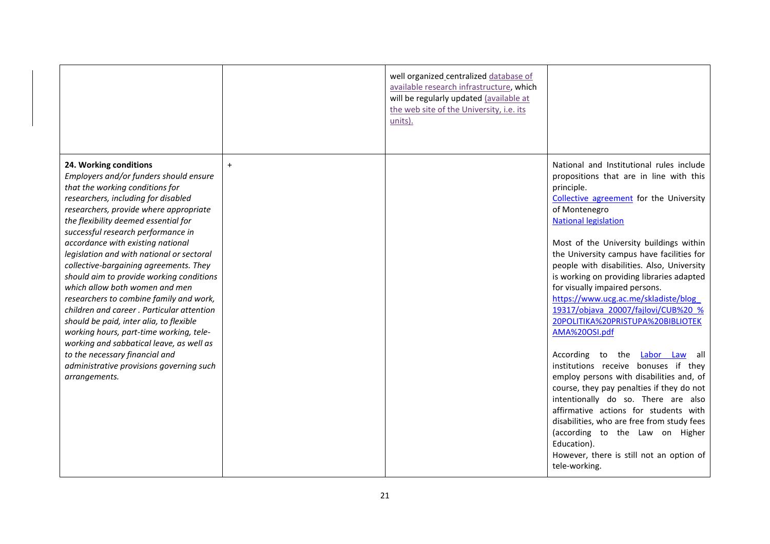|                                                                                                                                                                                                                                                                                                                                                                                                                                                                                                                                                                                                                                                                                                                                                                                                       |           | well organized_centralized database of<br>available research infrastructure, which<br>will be regularly updated (available at<br>the web site of the University, i.e. its<br>units). |                                                                                                                                                                                                                                                                                                                                                                                                                                                                                                                                                                                                                                                                                                                                                                                                                                                                                                                                                                             |
|-------------------------------------------------------------------------------------------------------------------------------------------------------------------------------------------------------------------------------------------------------------------------------------------------------------------------------------------------------------------------------------------------------------------------------------------------------------------------------------------------------------------------------------------------------------------------------------------------------------------------------------------------------------------------------------------------------------------------------------------------------------------------------------------------------|-----------|--------------------------------------------------------------------------------------------------------------------------------------------------------------------------------------|-----------------------------------------------------------------------------------------------------------------------------------------------------------------------------------------------------------------------------------------------------------------------------------------------------------------------------------------------------------------------------------------------------------------------------------------------------------------------------------------------------------------------------------------------------------------------------------------------------------------------------------------------------------------------------------------------------------------------------------------------------------------------------------------------------------------------------------------------------------------------------------------------------------------------------------------------------------------------------|
| 24. Working conditions<br>Employers and/or funders should ensure<br>that the working conditions for<br>researchers, including for disabled<br>researchers, provide where appropriate<br>the flexibility deemed essential for<br>successful research performance in<br>accordance with existing national<br>legislation and with national or sectoral<br>collective-bargaining agreements. They<br>should aim to provide working conditions<br>which allow both women and men<br>researchers to combine family and work,<br>children and career. Particular attention<br>should be paid, inter alia, to flexible<br>working hours, part-time working, tele-<br>working and sabbatical leave, as well as<br>to the necessary financial and<br>administrative provisions governing such<br>arrangements. | $\ddot{}$ |                                                                                                                                                                                      | National and Institutional rules include<br>propositions that are in line with this<br>principle.<br>Collective agreement for the University<br>of Montenegro<br><b>National legislation</b><br>Most of the University buildings within<br>the University campus have facilities for<br>people with disabilities. Also, University<br>is working on providing libraries adapted<br>for visually impaired persons.<br>https://www.ucg.ac.me/skladiste/blog<br>19317/objava 20007/fajlovi/CUB%20 %<br>20POLITIKA%20PRISTUPA%20BIBLIOTEK<br>AMA%20OSI.pdf<br>According to the Labor Law<br>all -<br>institutions receive bonuses if they<br>employ persons with disabilities and, of<br>course, they pay penalties if they do not<br>intentionally do so. There are also<br>affirmative actions for students with<br>disabilities, who are free from study fees<br>(according to the Law on Higher<br>Education).<br>However, there is still not an option of<br>tele-working. |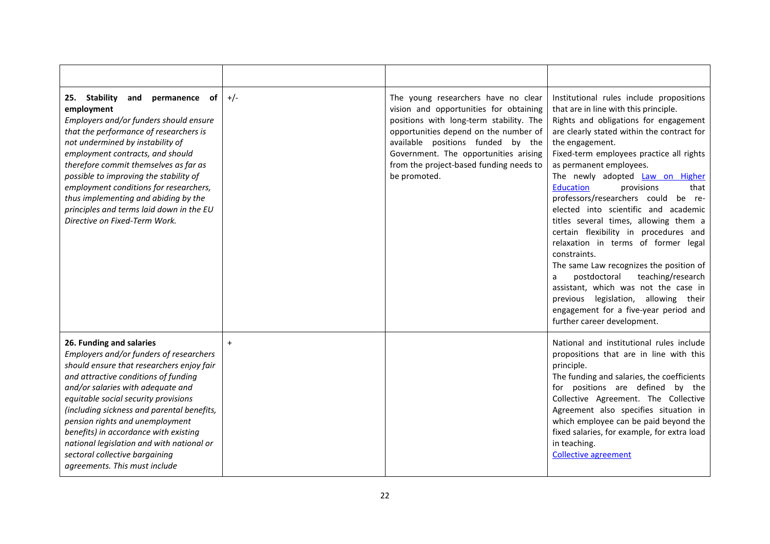| 25. Stability<br>and<br>permanence of<br>employment<br>Employers and/or funders should ensure<br>that the performance of researchers is<br>not undermined by instability of<br>employment contracts, and should<br>therefore commit themselves as far as<br>possible to improving the stability of<br>employment conditions for researchers,<br>thus implementing and abiding by the<br>principles and terms laid down in the EU<br>Directive on Fixed-Term Work.               | $+/-$ | The young researchers have no clear<br>vision and opportunities for obtaining<br>positions with long-term stability. The<br>opportunities depend on the number of<br>available positions funded by the<br>Government. The opportunities arising<br>from the project-based funding needs to<br>be promoted. | Institutional rules include propositions<br>that are in line with this principle.<br>Rights and obligations for engagement<br>are clearly stated within the contract for<br>the engagement.<br>Fixed-term employees practice all rights<br>as permanent employees.<br>The newly adopted Law on Higher<br><b>Education</b><br>provisions<br>that<br>professors/researchers could be re-<br>elected into scientific and academic<br>titles several times, allowing them a<br>certain flexibility in procedures and<br>relaxation in terms of former legal<br>constraints.<br>The same Law recognizes the position of<br>postdoctoral<br>teaching/research<br>a<br>assistant, which was not the case in<br>previous legislation,<br>allowing<br>their<br>engagement for a five-year period and<br>further career development. |
|---------------------------------------------------------------------------------------------------------------------------------------------------------------------------------------------------------------------------------------------------------------------------------------------------------------------------------------------------------------------------------------------------------------------------------------------------------------------------------|-------|------------------------------------------------------------------------------------------------------------------------------------------------------------------------------------------------------------------------------------------------------------------------------------------------------------|----------------------------------------------------------------------------------------------------------------------------------------------------------------------------------------------------------------------------------------------------------------------------------------------------------------------------------------------------------------------------------------------------------------------------------------------------------------------------------------------------------------------------------------------------------------------------------------------------------------------------------------------------------------------------------------------------------------------------------------------------------------------------------------------------------------------------|
| 26. Funding and salaries<br>Employers and/or funders of researchers<br>should ensure that researchers enjoy fair<br>and attractive conditions of funding<br>and/or salaries with adequate and<br>equitable social security provisions<br>(including sickness and parental benefits,<br>pension rights and unemployment<br>benefits) in accordance with existing<br>national legislation and with national or<br>sectoral collective bargaining<br>agreements. This must include | $+$   |                                                                                                                                                                                                                                                                                                            | National and institutional rules include<br>propositions that are in line with this<br>principle.<br>The funding and salaries, the coefficients<br>for positions are defined by the<br>Collective Agreement. The Collective<br>Agreement also specifies situation in<br>which employee can be paid beyond the<br>fixed salaries, for example, for extra load<br>in teaching.<br><b>Collective agreement</b>                                                                                                                                                                                                                                                                                                                                                                                                                |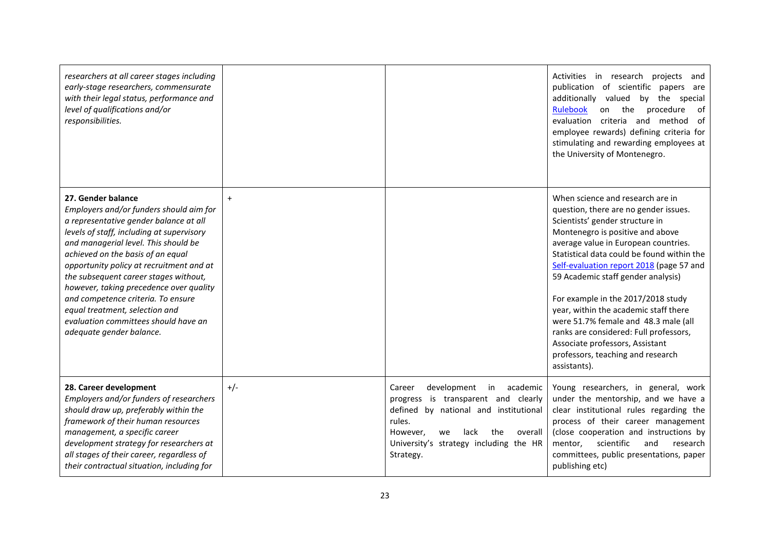| researchers at all career stages including<br>early-stage researchers, commensurate<br>with their legal status, performance and<br>level of qualifications and/or<br>responsibilities.                                                                                                                                                                                                                                                                                                                        |       |                                                                                                                                                                                                                                      | Activities in research<br>projects<br>and<br>publication of scientific papers are<br>additionally valued<br>by the special<br><b>Rulebook</b><br>procedure<br>on the<br>of<br>criteria and method<br>- of<br>evaluation<br>employee rewards) defining criteria for<br>stimulating and rewarding employees at<br>the University of Montenegro.                                                                                                                                                                                                                                     |
|---------------------------------------------------------------------------------------------------------------------------------------------------------------------------------------------------------------------------------------------------------------------------------------------------------------------------------------------------------------------------------------------------------------------------------------------------------------------------------------------------------------|-------|--------------------------------------------------------------------------------------------------------------------------------------------------------------------------------------------------------------------------------------|-----------------------------------------------------------------------------------------------------------------------------------------------------------------------------------------------------------------------------------------------------------------------------------------------------------------------------------------------------------------------------------------------------------------------------------------------------------------------------------------------------------------------------------------------------------------------------------|
| 27. Gender balance<br>Employers and/or funders should aim for<br>a representative gender balance at all<br>levels of staff, including at supervisory<br>and managerial level. This should be<br>achieved on the basis of an equal<br>opportunity policy at recruitment and at<br>the subsequent career stages without,<br>however, taking precedence over quality<br>and competence criteria. To ensure<br>equal treatment, selection and<br>evaluation committees should have an<br>adequate gender balance. | $+$   |                                                                                                                                                                                                                                      | When science and research are in<br>question, there are no gender issues.<br>Scientists' gender structure in<br>Montenegro is positive and above<br>average value in European countries.<br>Statistical data could be found within the<br>Self-evaluation report 2018 (page 57 and<br>59 Academic staff gender analysis)<br>For example in the 2017/2018 study<br>year, within the academic staff there<br>were 51.7% female and 48.3 male (all<br>ranks are considered: Full professors,<br>Associate professors, Assistant<br>professors, teaching and research<br>assistants). |
| 28. Career development<br>Employers and/or funders of researchers<br>should draw up, preferably within the<br>framework of their human resources<br>management, a specific career<br>development strategy for researchers at<br>all stages of their career, regardless of<br>their contractual situation, including for                                                                                                                                                                                       | $+/-$ | development<br>academic<br>Career<br>in<br>progress is transparent and clearly<br>defined by national and institutional<br>rules.<br>However,<br>lack<br>the<br>overall<br>we<br>University's strategy including the HR<br>Strategy. | Young researchers, in general, work<br>under the mentorship, and we have a<br>clear institutional rules regarding the<br>process of their career management<br>(close cooperation and instructions by<br>scientific<br>mentor,<br>and<br>research<br>committees, public presentations, paper<br>publishing etc)                                                                                                                                                                                                                                                                   |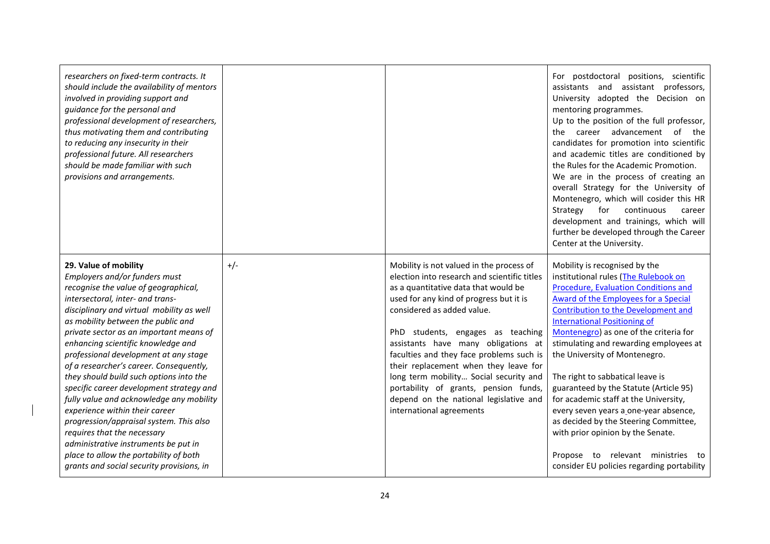| researchers on fixed-term contracts. It<br>should include the availability of mentors<br>involved in providing support and<br>guidance for the personal and<br>professional development of researchers,<br>thus motivating them and contributing<br>to reducing any insecurity in their<br>professional future. All researchers<br>should be made familiar with such<br>provisions and arrangements.                                                                                                                                                                                                                                                                                                                                                                     |       |                                                                                                                                                                                                                                                                                                                                                                                                                                                                                                                                     | For postdoctoral positions, scientific<br>assistants and assistant professors,<br>University adopted the Decision on<br>mentoring programmes.<br>Up to the position of the full professor,<br>career advancement of<br>the<br>the<br>candidates for promotion into scientific<br>and academic titles are conditioned by<br>the Rules for the Academic Promotion.<br>We are in the process of creating an<br>overall Strategy for the University of<br>Montenegro, which will cosider this HR<br>continuous<br>Strategy<br>for<br>career<br>development and trainings, which will<br>further be developed through the Career<br>Center at the University.                                                       |
|--------------------------------------------------------------------------------------------------------------------------------------------------------------------------------------------------------------------------------------------------------------------------------------------------------------------------------------------------------------------------------------------------------------------------------------------------------------------------------------------------------------------------------------------------------------------------------------------------------------------------------------------------------------------------------------------------------------------------------------------------------------------------|-------|-------------------------------------------------------------------------------------------------------------------------------------------------------------------------------------------------------------------------------------------------------------------------------------------------------------------------------------------------------------------------------------------------------------------------------------------------------------------------------------------------------------------------------------|----------------------------------------------------------------------------------------------------------------------------------------------------------------------------------------------------------------------------------------------------------------------------------------------------------------------------------------------------------------------------------------------------------------------------------------------------------------------------------------------------------------------------------------------------------------------------------------------------------------------------------------------------------------------------------------------------------------|
| 29. Value of mobility<br>Employers and/or funders must<br>recognise the value of geographical,<br>intersectoral, inter- and trans-<br>disciplinary and virtual mobility as well<br>as mobility between the public and<br>private sector as an important means of<br>enhancing scientific knowledge and<br>professional development at any stage<br>of a researcher's career. Consequently,<br>they should build such options into the<br>specific career development strategy and<br>fully value and acknowledge any mobility<br>experience within their career<br>progression/appraisal system. This also<br>requires that the necessary<br>administrative instruments be put in<br>place to allow the portability of both<br>grants and social security provisions, in | $+/-$ | Mobility is not valued in the process of<br>election into research and scientific titles<br>as a quantitative data that would be<br>used for any kind of progress but it is<br>considered as added value.<br>PhD students, engages as teaching<br>assistants have many obligations at<br>faculties and they face problems such is<br>their replacement when they leave for<br>long term mobility Social security and<br>portability of grants, pension funds,<br>depend on the national legislative and<br>international agreements | Mobility is recognised by the<br>institutional rules (The Rulebook on<br><b>Procedure, Evaluation Conditions and</b><br><b>Award of the Employees for a Special</b><br><b>Contribution to the Development and</b><br><b>International Positioning of</b><br>Montenegro) as one of the criteria for<br>stimulating and rewarding employees at<br>the University of Montenegro.<br>The right to sabbatical leave is<br>guaranteed by the Statute (Article 95)<br>for academic staff at the University,<br>every seven years a one-year absence,<br>as decided by the Steering Committee,<br>with prior opinion by the Senate.<br>Propose to relevant ministries to<br>consider EU policies regarding portability |

 $\mathbf l$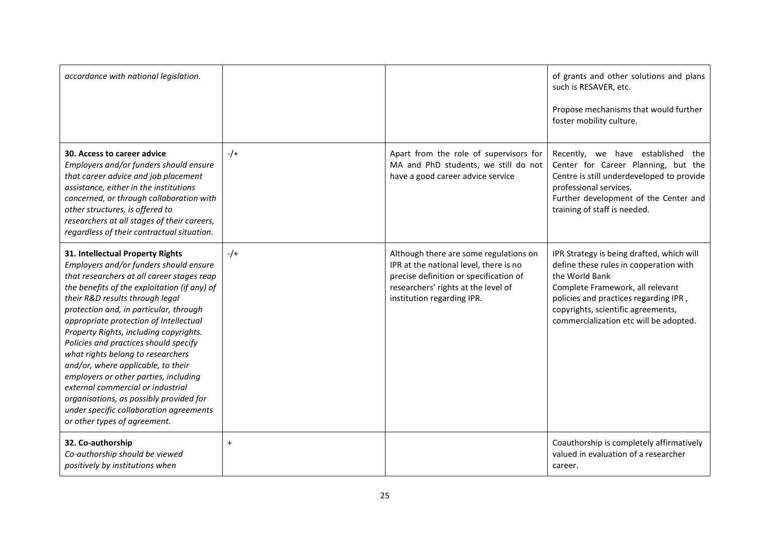| accordance with national legislation.                                                                                                                                                                                                                                                                                                                                                                                                                                                                                                                                                                                                                             |           |                                                                                                                                                                                                 | of grants and other solutions and plans<br>such is RESAVER, etc.<br>Propose mechanisms that would further<br>foster mobility culture.                                                                                                                              |
|-------------------------------------------------------------------------------------------------------------------------------------------------------------------------------------------------------------------------------------------------------------------------------------------------------------------------------------------------------------------------------------------------------------------------------------------------------------------------------------------------------------------------------------------------------------------------------------------------------------------------------------------------------------------|-----------|-------------------------------------------------------------------------------------------------------------------------------------------------------------------------------------------------|--------------------------------------------------------------------------------------------------------------------------------------------------------------------------------------------------------------------------------------------------------------------|
| 30. Access to career advice<br>Employers and/or funders should ensure<br>that career advice and job placement<br>assistance, either in the institutions<br>concerned, or through collaboration with<br>other structures, is offered to<br>researchers at all stages of their careers,<br>regardless of their contractual situation.                                                                                                                                                                                                                                                                                                                               | $-/-$     | Apart from the role of supervisors for<br>MA and PhD students, we still do not<br>have a good career advice service                                                                             | Recently, we have established<br>the<br>Center for Career Planning, but the<br>Centre is still underdeveloped to provide<br>professional services.<br>Further development of the Center and<br>training of staff is needed.                                        |
| 31. Intellectual Property Rights<br>Employers and/or funders should ensure<br>that researchers at all career stages reap<br>the benefits of the exploitation (if any) of<br>their R&D results through legal<br>protection and, in particular, through<br>appropriate protection of Intellectual<br>Property Rights, including copyrights.<br>Policies and practices should specify<br>what rights belong to researchers<br>and/or, where applicable, to their<br>employers or other parties, including<br>external commercial or industrial<br>organisations, as possibly provided for<br>under specific collaboration agreements<br>or other types of agreement. | $-$ /+    | Although there are some regulations on<br>IPR at the national level, there is no<br>precise definition or specification of<br>researchers' rights at the level of<br>institution regarding IPR. | IPR Strategy is being drafted, which will<br>define these rules in cooperation with<br>the World Bank<br>Complete Framework, all relevant<br>policies and practices regarding IPR,<br>copyrights, scientific agreements,<br>commercialization etc will be adopted. |
| 32. Co-authorship<br>Co-authorship should be viewed<br>positively by institutions when                                                                                                                                                                                                                                                                                                                                                                                                                                                                                                                                                                            | $\ddot{}$ |                                                                                                                                                                                                 | Coauthorship is completely affirmatively<br>valued in evaluation of a researcher<br>career.                                                                                                                                                                        |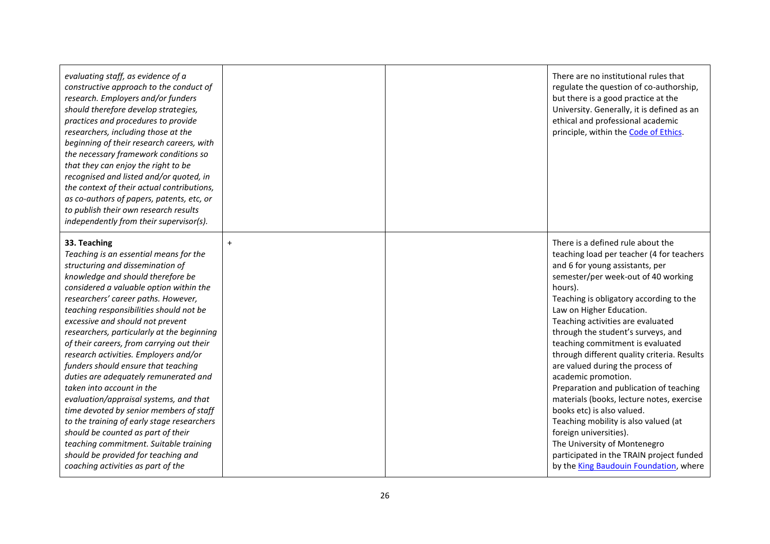| evaluating staff, as evidence of a<br>constructive approach to the conduct of<br>research. Employers and/or funders<br>should therefore develop strategies,<br>practices and procedures to provide<br>researchers, including those at the<br>beginning of their research careers, with<br>the necessary framework conditions so<br>that they can enjoy the right to be<br>recognised and listed and/or quoted, in<br>the context of their actual contributions,<br>as co-authors of papers, patents, etc, or<br>to publish their own research results<br>independently from their supervisor(s).                                                                                                                                                                                                                                                  |     | There are no institutional rules that<br>regulate the question of co-authorship,<br>but there is a good practice at the<br>University. Generally, it is defined as an<br>ethical and professional academic<br>principle, within the Code of Ethics.                                                                                                                                                                                                                                                                                                                                                                                                                                                                                                                               |
|---------------------------------------------------------------------------------------------------------------------------------------------------------------------------------------------------------------------------------------------------------------------------------------------------------------------------------------------------------------------------------------------------------------------------------------------------------------------------------------------------------------------------------------------------------------------------------------------------------------------------------------------------------------------------------------------------------------------------------------------------------------------------------------------------------------------------------------------------|-----|-----------------------------------------------------------------------------------------------------------------------------------------------------------------------------------------------------------------------------------------------------------------------------------------------------------------------------------------------------------------------------------------------------------------------------------------------------------------------------------------------------------------------------------------------------------------------------------------------------------------------------------------------------------------------------------------------------------------------------------------------------------------------------------|
| 33. Teaching<br>Teaching is an essential means for the<br>structuring and dissemination of<br>knowledge and should therefore be<br>considered a valuable option within the<br>researchers' career paths. However,<br>teaching responsibilities should not be<br>excessive and should not prevent<br>researchers, particularly at the beginning<br>of their careers, from carrying out their<br>research activities. Employers and/or<br>funders should ensure that teaching<br>duties are adequately remunerated and<br>taken into account in the<br>evaluation/appraisal systems, and that<br>time devoted by senior members of staff<br>to the training of early stage researchers<br>should be counted as part of their<br>teaching commitment. Suitable training<br>should be provided for teaching and<br>coaching activities as part of the | $+$ | There is a defined rule about the<br>teaching load per teacher (4 for teachers<br>and 6 for young assistants, per<br>semester/per week-out of 40 working<br>hours).<br>Teaching is obligatory according to the<br>Law on Higher Education.<br>Teaching activities are evaluated<br>through the student's surveys, and<br>teaching commitment is evaluated<br>through different quality criteria. Results<br>are valued during the process of<br>academic promotion.<br>Preparation and publication of teaching<br>materials (books, lecture notes, exercise<br>books etc) is also valued.<br>Teaching mobility is also valued (at<br>foreign universities).<br>The University of Montenegro<br>participated in the TRAIN project funded<br>by the King Baudouin Foundation, where |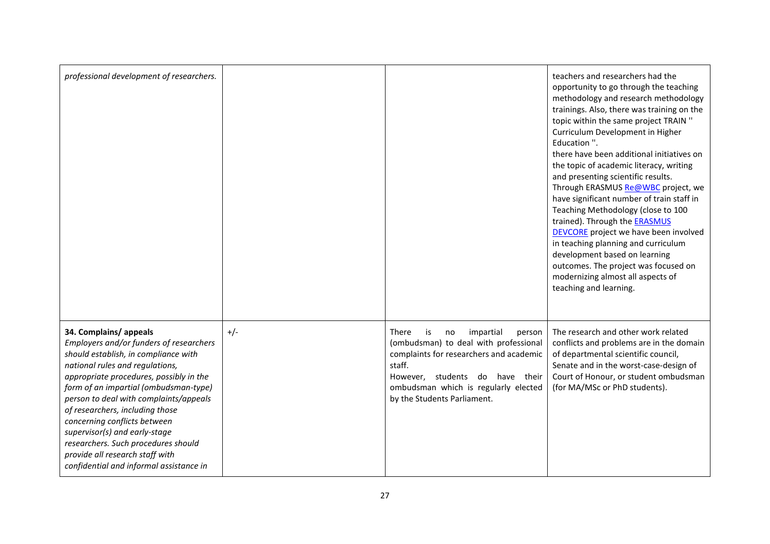| professional development of researchers.                                                                                                                                                                                                                                                                                                                                                                                                                                                           |       |                                                                                                                                                                                                                                                  | teachers and researchers had the<br>opportunity to go through the teaching<br>methodology and research methodology<br>trainings. Also, there was training on the<br>topic within the same project TRAIN "<br>Curriculum Development in Higher<br>Education ".<br>there have been additional initiatives on<br>the topic of academic literacy, writing<br>and presenting scientific results.<br>Through ERASMUS Re@WBC project, we<br>have significant number of train staff in<br>Teaching Methodology (close to 100<br>trained). Through the <b>ERASMUS</b><br><b>DEVCORE</b> project we have been involved<br>in teaching planning and curriculum<br>development based on learning<br>outcomes. The project was focused on<br>modernizing almost all aspects of<br>teaching and learning. |
|----------------------------------------------------------------------------------------------------------------------------------------------------------------------------------------------------------------------------------------------------------------------------------------------------------------------------------------------------------------------------------------------------------------------------------------------------------------------------------------------------|-------|--------------------------------------------------------------------------------------------------------------------------------------------------------------------------------------------------------------------------------------------------|---------------------------------------------------------------------------------------------------------------------------------------------------------------------------------------------------------------------------------------------------------------------------------------------------------------------------------------------------------------------------------------------------------------------------------------------------------------------------------------------------------------------------------------------------------------------------------------------------------------------------------------------------------------------------------------------------------------------------------------------------------------------------------------------|
| 34. Complains/appeals<br>Employers and/or funders of researchers<br>should establish, in compliance with<br>national rules and regulations,<br>appropriate procedures, possibly in the<br>form of an impartial (ombudsman-type)<br>person to deal with complaints/appeals<br>of researchers, including those<br>concerning conflicts between<br>supervisor(s) and early-stage<br>researchers. Such procedures should<br>provide all research staff with<br>confidential and informal assistance in | $+/-$ | There<br>is<br>impartial<br>no<br>person<br>(ombudsman) to deal with professional<br>complaints for researchers and academic<br>staff.<br>However, students do have their<br>ombudsman which is regularly elected<br>by the Students Parliament. | The research and other work related<br>conflicts and problems are in the domain<br>of departmental scientific council,<br>Senate and in the worst-case-design of<br>Court of Honour, or student ombudsman<br>(for MA/MSc or PhD students).                                                                                                                                                                                                                                                                                                                                                                                                                                                                                                                                                  |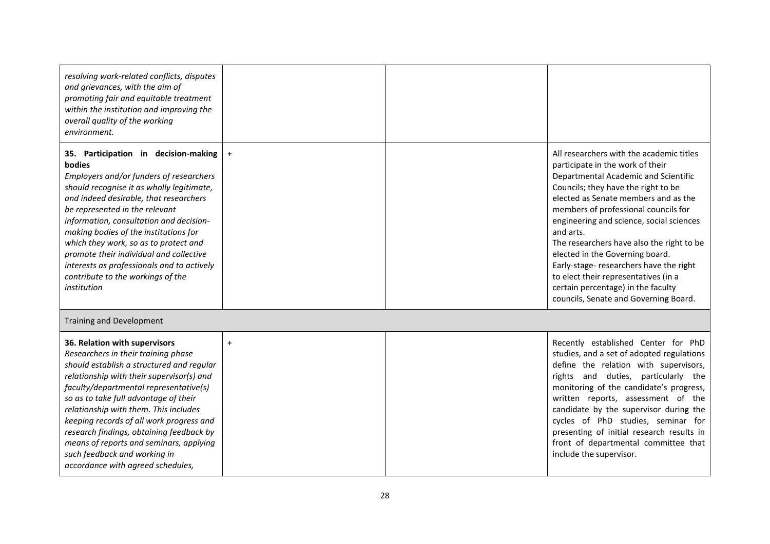| resolving work-related conflicts, disputes<br>and grievances, with the aim of<br>promoting fair and equitable treatment<br>within the institution and improving the<br>overall quality of the working<br>environment.                                                                                                                                                                                                                                                                              |           |                                                                                                                                                                                                                                                                                                                                                                                                                                                                                                                                                        |
|----------------------------------------------------------------------------------------------------------------------------------------------------------------------------------------------------------------------------------------------------------------------------------------------------------------------------------------------------------------------------------------------------------------------------------------------------------------------------------------------------|-----------|--------------------------------------------------------------------------------------------------------------------------------------------------------------------------------------------------------------------------------------------------------------------------------------------------------------------------------------------------------------------------------------------------------------------------------------------------------------------------------------------------------------------------------------------------------|
| 35. Participation in decision-making<br>bodies<br>Employers and/or funders of researchers<br>should recognise it as wholly legitimate,<br>and indeed desirable, that researchers<br>be represented in the relevant<br>information, consultation and decision-<br>making bodies of the institutions for<br>which they work, so as to protect and<br>promote their individual and collective<br>interests as professionals and to actively<br>contribute to the workings of the<br>institution       | $\ddot{}$ | All researchers with the academic titles<br>participate in the work of their<br>Departmental Academic and Scientific<br>Councils; they have the right to be<br>elected as Senate members and as the<br>members of professional councils for<br>engineering and science, social sciences<br>and arts.<br>The researchers have also the right to be<br>elected in the Governing board.<br>Early-stage- researchers have the right<br>to elect their representatives (in a<br>certain percentage) in the faculty<br>councils, Senate and Governing Board. |
| Training and Development                                                                                                                                                                                                                                                                                                                                                                                                                                                                           |           |                                                                                                                                                                                                                                                                                                                                                                                                                                                                                                                                                        |
| 36. Relation with supervisors<br>Researchers in their training phase<br>should establish a structured and regular<br>relationship with their supervisor(s) and<br>faculty/departmental representative(s)<br>so as to take full advantage of their<br>relationship with them. This includes<br>keeping records of all work progress and<br>research findings, obtaining feedback by<br>means of reports and seminars, applying<br>such feedback and working in<br>accordance with agreed schedules, | $\ddot{}$ | Recently established Center for PhD<br>studies, and a set of adopted regulations<br>define the relation with supervisors,<br>rights and duties, particularly the<br>monitoring of the candidate's progress,<br>written reports, assessment of the<br>candidate by the supervisor during the<br>cycles of PhD studies, seminar for<br>presenting of initial research results in<br>front of departmental committee that<br>include the supervisor.                                                                                                      |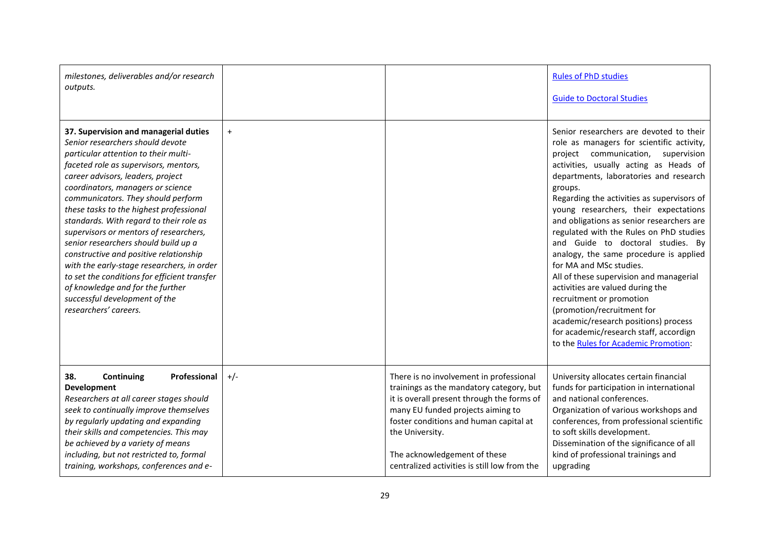| milestones, deliverables and/or research<br>outputs.                                                                                                                                                                                                                                                                                                                                                                                                                                                                                                                                                                                                                                     |           |                                                                                                                                                                                                                                                                                                                     | <b>Rules of PhD studies</b><br><b>Guide to Doctoral Studies</b>                                                                                                                                                                                                                                                                                                                                                                                                                                                                                                                                                                                                                                                                                                                          |
|------------------------------------------------------------------------------------------------------------------------------------------------------------------------------------------------------------------------------------------------------------------------------------------------------------------------------------------------------------------------------------------------------------------------------------------------------------------------------------------------------------------------------------------------------------------------------------------------------------------------------------------------------------------------------------------|-----------|---------------------------------------------------------------------------------------------------------------------------------------------------------------------------------------------------------------------------------------------------------------------------------------------------------------------|------------------------------------------------------------------------------------------------------------------------------------------------------------------------------------------------------------------------------------------------------------------------------------------------------------------------------------------------------------------------------------------------------------------------------------------------------------------------------------------------------------------------------------------------------------------------------------------------------------------------------------------------------------------------------------------------------------------------------------------------------------------------------------------|
| 37. Supervision and managerial duties<br>Senior researchers should devote<br>particular attention to their multi-<br>faceted role as supervisors, mentors,<br>career advisors, leaders, project<br>coordinators, managers or science<br>communicators. They should perform<br>these tasks to the highest professional<br>standards. With regard to their role as<br>supervisors or mentors of researchers,<br>senior researchers should build up a<br>constructive and positive relationship<br>with the early-stage researchers, in order<br>to set the conditions for efficient transfer<br>of knowledge and for the further<br>successful development of the<br>researchers' careers. | $\ddot{}$ |                                                                                                                                                                                                                                                                                                                     | Senior researchers are devoted to their<br>role as managers for scientific activity,<br>project communication,<br>supervision<br>activities, usually acting as Heads of<br>departments, laboratories and research<br>groups.<br>Regarding the activities as supervisors of<br>young researchers, their expectations<br>and obligations as senior researchers are<br>regulated with the Rules on PhD studies<br>and Guide to doctoral studies. By<br>analogy, the same procedure is applied<br>for MA and MSc studies.<br>All of these supervision and managerial<br>activities are valued during the<br>recruitment or promotion<br>(promotion/recruitment for<br>academic/research positions) process<br>for academic/research staff, accordign<br>to the Rules for Academic Promotion: |
| 38.<br>Professional<br>Continuing<br>Development<br>Researchers at all career stages should<br>seek to continually improve themselves<br>by regularly updating and expanding<br>their skills and competencies. This may<br>be achieved by a variety of means<br>including, but not restricted to, formal<br>training, workshops, conferences and e-                                                                                                                                                                                                                                                                                                                                      | $+/-$     | There is no involvement in professional<br>trainings as the mandatory category, but<br>it is overall present through the forms of<br>many EU funded projects aiming to<br>foster conditions and human capital at<br>the University.<br>The acknowledgement of these<br>centralized activities is still low from the | University allocates certain financial<br>funds for participation in international<br>and national conferences.<br>Organization of various workshops and<br>conferences, from professional scientific<br>to soft skills development.<br>Dissemination of the significance of all<br>kind of professional trainings and<br>upgrading                                                                                                                                                                                                                                                                                                                                                                                                                                                      |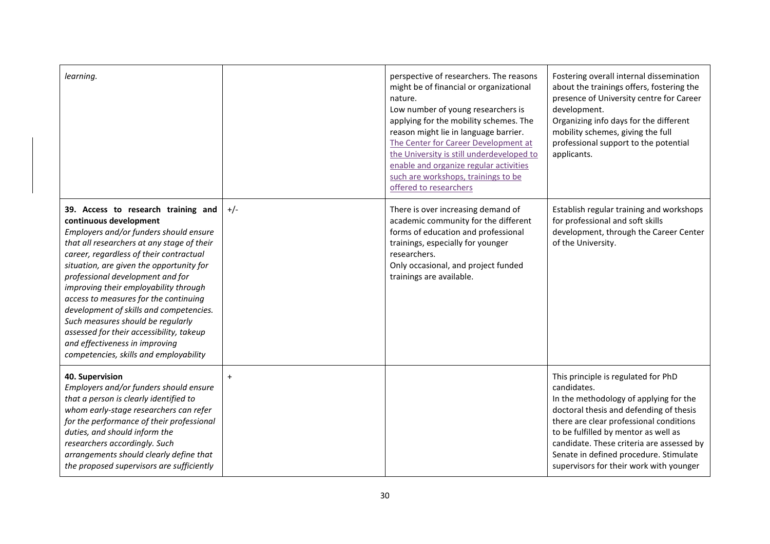| learning.                                                                                                                                                                                                                                                                                                                                                                                                                                                                                                                                                                  |       | perspective of researchers. The reasons<br>might be of financial or organizational<br>nature.<br>Low number of young researchers is<br>applying for the mobility schemes. The<br>reason might lie in language barrier.<br>The Center for Career Development at<br>the University is still underdeveloped to<br>enable and organize regular activities<br>such are workshops, trainings to be<br>offered to researchers | Fostering overall internal dissemination<br>about the trainings offers, fostering the<br>presence of University centre for Career<br>development.<br>Organizing info days for the different<br>mobility schemes, giving the full<br>professional support to the potential<br>applicants.                                                                     |
|----------------------------------------------------------------------------------------------------------------------------------------------------------------------------------------------------------------------------------------------------------------------------------------------------------------------------------------------------------------------------------------------------------------------------------------------------------------------------------------------------------------------------------------------------------------------------|-------|------------------------------------------------------------------------------------------------------------------------------------------------------------------------------------------------------------------------------------------------------------------------------------------------------------------------------------------------------------------------------------------------------------------------|--------------------------------------------------------------------------------------------------------------------------------------------------------------------------------------------------------------------------------------------------------------------------------------------------------------------------------------------------------------|
| 39. Access to research training and<br>continuous development<br>Employers and/or funders should ensure<br>that all researchers at any stage of their<br>career, regardless of their contractual<br>situation, are given the opportunity for<br>professional development and for<br>improving their employability through<br>access to measures for the continuing<br>development of skills and competencies.<br>Such measures should be regularly<br>assessed for their accessibility, takeup<br>and effectiveness in improving<br>competencies, skills and employability | $+/-$ | There is over increasing demand of<br>academic community for the different<br>forms of education and professional<br>trainings, especially for younger<br>researchers.<br>Only occasional, and project funded<br>trainings are available.                                                                                                                                                                              | Establish regular training and workshops<br>for professional and soft skills<br>development, through the Career Center<br>of the University.                                                                                                                                                                                                                 |
| 40. Supervision<br>Employers and/or funders should ensure<br>that a person is clearly identified to<br>whom early-stage researchers can refer<br>for the performance of their professional<br>duties, and should inform the<br>researchers accordingly. Such<br>arrangements should clearly define that<br>the proposed supervisors are sufficiently                                                                                                                                                                                                                       | $+$   |                                                                                                                                                                                                                                                                                                                                                                                                                        | This principle is regulated for PhD<br>candidates.<br>In the methodology of applying for the<br>doctoral thesis and defending of thesis<br>there are clear professional conditions<br>to be fulfilled by mentor as well as<br>candidate. These criteria are assessed by<br>Senate in defined procedure. Stimulate<br>supervisors for their work with younger |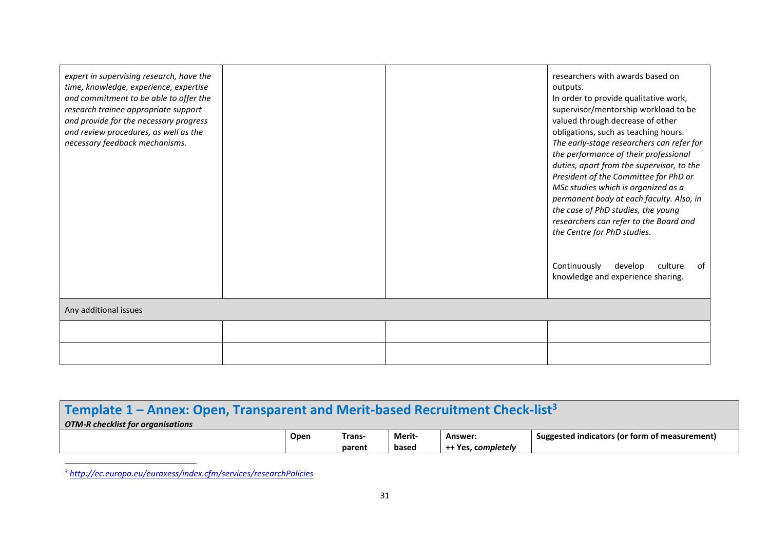| expert in supervising research, have the<br>time, knowledge, experience, expertise<br>and commitment to be able to offer the<br>research trainee appropriate support<br>and provide for the necessary progress<br>and review procedures, as well as the<br>necessary feedback mechanisms. |  | researchers with awards based on<br>outputs.<br>In order to provide qualitative work,<br>supervisor/mentorship workload to be<br>valued through decrease of other<br>obligations, such as teaching hours.<br>The early-stage researchers can refer for<br>the performance of their professional<br>duties, apart from the supervisor, to the<br>President of the Committee for PhD or<br>MSc studies which is organized as a<br>permanent body at each faculty. Also, in<br>the case of PhD studies, the young<br>researchers can refer to the Board and<br>the Centre for PhD studies.<br>Continuously<br>develop<br>culture<br>of<br>knowledge and experience sharing. |
|-------------------------------------------------------------------------------------------------------------------------------------------------------------------------------------------------------------------------------------------------------------------------------------------|--|--------------------------------------------------------------------------------------------------------------------------------------------------------------------------------------------------------------------------------------------------------------------------------------------------------------------------------------------------------------------------------------------------------------------------------------------------------------------------------------------------------------------------------------------------------------------------------------------------------------------------------------------------------------------------|
| Any additional issues                                                                                                                                                                                                                                                                     |  |                                                                                                                                                                                                                                                                                                                                                                                                                                                                                                                                                                                                                                                                          |
|                                                                                                                                                                                                                                                                                           |  |                                                                                                                                                                                                                                                                                                                                                                                                                                                                                                                                                                                                                                                                          |
|                                                                                                                                                                                                                                                                                           |  |                                                                                                                                                                                                                                                                                                                                                                                                                                                                                                                                                                                                                                                                          |

# **Template 1 – Annex: Open, Transparent and Merit-based Recruitment Check-list<sup>3</sup>** *OTM-R checklist for organisations*

| <b>Open</b> | Trans  | Merit- | Answer:                    | . .<br>torm of measurement)<br>Suggested indicators for for |
|-------------|--------|--------|----------------------------|-------------------------------------------------------------|
|             | parent | based  | . completelv<br>Vρς<br>--- |                                                             |

*<sup>3</sup> <http://ec.europa.eu/euraxess/index.cfm/services/researchPolicies>*

 $\ddot{\phantom{a}}$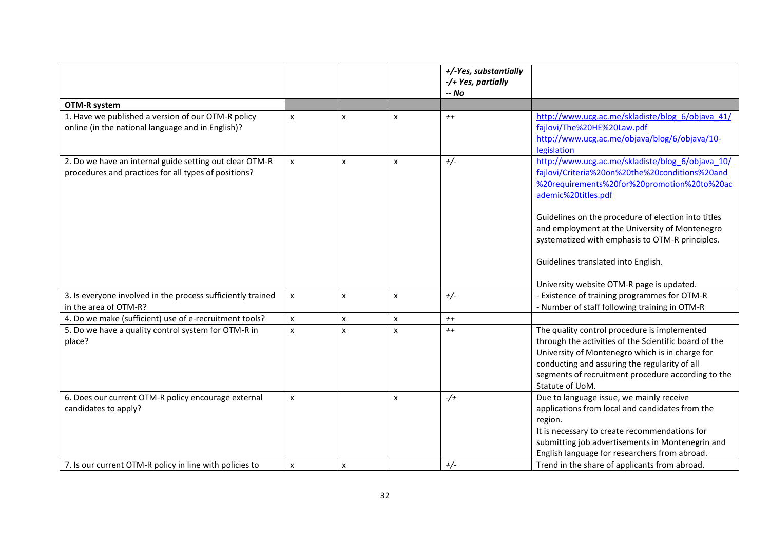|                                                                                                                 |                    |                |   | +/-Yes, substantially<br>-/+ Yes, partially |                                                                                                                                                                                                                                                                                                                                                                             |
|-----------------------------------------------------------------------------------------------------------------|--------------------|----------------|---|---------------------------------------------|-----------------------------------------------------------------------------------------------------------------------------------------------------------------------------------------------------------------------------------------------------------------------------------------------------------------------------------------------------------------------------|
|                                                                                                                 |                    |                |   | -- No                                       |                                                                                                                                                                                                                                                                                                                                                                             |
| <b>OTM-R system</b>                                                                                             |                    |                |   |                                             |                                                                                                                                                                                                                                                                                                                                                                             |
| 1. Have we published a version of our OTM-R policy<br>online (in the national language and in English)?         | $\pmb{\mathsf{x}}$ | x              | X | $++$                                        | http://www.ucg.ac.me/skladiste/blog_6/objava_41/<br>fajlovi/The%20HE%20Law.pdf<br>http://www.ucg.ac.me/objava/blog/6/objava/10-<br>legislation                                                                                                                                                                                                                              |
| 2. Do we have an internal guide setting out clear OTM-R<br>procedures and practices for all types of positions? | $\pmb{\mathsf{x}}$ | X              | x | $+/-$                                       | http://www.ucg.ac.me/skladiste/blog_6/objava_10/<br>fajlovi/Criteria%20on%20the%20conditions%20and<br>%20requirements%20for%20promotion%20to%20ac<br>ademic%20titles.pdf<br>Guidelines on the procedure of election into titles<br>and employment at the University of Montenegro<br>systematized with emphasis to OTM-R principles.<br>Guidelines translated into English. |
|                                                                                                                 |                    |                |   |                                             | University website OTM-R page is updated.                                                                                                                                                                                                                                                                                                                                   |
| 3. Is everyone involved in the process sufficiently trained<br>in the area of OTM-R?                            | $\pmb{\mathsf{x}}$ | x              | X | $+/-$                                       | - Existence of training programmes for OTM-R<br>- Number of staff following training in OTM-R                                                                                                                                                                                                                                                                               |
| 4. Do we make (sufficient) use of e-recruitment tools?                                                          | $\pmb{\mathsf{x}}$ | $\pmb{\times}$ | X | $++$                                        |                                                                                                                                                                                                                                                                                                                                                                             |
| 5. Do we have a quality control system for OTM-R in<br>place?                                                   | $\mathsf{x}$       | x              | X | $++$                                        | The quality control procedure is implemented<br>through the activities of the Scientific board of the<br>University of Montenegro which is in charge for<br>conducting and assuring the regularity of all<br>segments of recruitment procedure according to the<br>Statute of UoM.                                                                                          |
| 6. Does our current OTM-R policy encourage external<br>candidates to apply?                                     | X                  |                | x | $-$ /+                                      | Due to language issue, we mainly receive<br>applications from local and candidates from the<br>region.<br>It is necessary to create recommendations for<br>submitting job advertisements in Montenegrin and<br>English language for researchers from abroad.                                                                                                                |
| 7. Is our current OTM-R policy in line with policies to                                                         | $\pmb{\times}$     | X              |   | $+/-$                                       | Trend in the share of applicants from abroad.                                                                                                                                                                                                                                                                                                                               |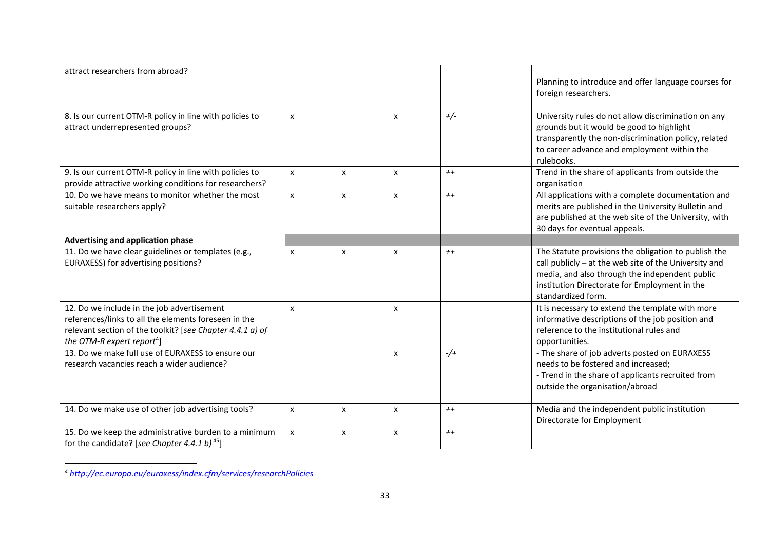| attract researchers from abroad?                                                                                                                                                                          |                |                |              |         |                                                                                                                                                                                                                                        |
|-----------------------------------------------------------------------------------------------------------------------------------------------------------------------------------------------------------|----------------|----------------|--------------|---------|----------------------------------------------------------------------------------------------------------------------------------------------------------------------------------------------------------------------------------------|
|                                                                                                                                                                                                           |                |                |              |         | Planning to introduce and offer language courses for<br>foreign researchers.                                                                                                                                                           |
| 8. Is our current OTM-R policy in line with policies to<br>attract underrepresented groups?                                                                                                               | X              |                | X            | $+/-$   | University rules do not allow discrimination on any<br>grounds but it would be good to highlight<br>transparently the non-discrimination policy, related<br>to career advance and employment within the<br>rulebooks.                  |
| 9. Is our current OTM-R policy in line with policies to<br>provide attractive working conditions for researchers?                                                                                         | X              | X              | X            | $++$    | Trend in the share of applicants from outside the<br>organisation                                                                                                                                                                      |
| 10. Do we have means to monitor whether the most<br>suitable researchers apply?                                                                                                                           | X              | $\mathsf{x}$   | x            | $++$    | All applications with a complete documentation and<br>merits are published in the University Bulletin and<br>are published at the web site of the University, with<br>30 days for eventual appeals.                                    |
| Advertising and application phase                                                                                                                                                                         |                |                |              |         |                                                                                                                                                                                                                                        |
| 11. Do we have clear guidelines or templates (e.g.,<br>EURAXESS) for advertising positions?                                                                                                               | $\pmb{\times}$ | $\pmb{\times}$ | X            | $++$    | The Statute provisions the obligation to publish the<br>call publicly - at the web site of the University and<br>media, and also through the independent public<br>institution Directorate for Employment in the<br>standardized form. |
| 12. Do we include in the job advertisement<br>references/links to all the elements foreseen in the<br>relevant section of the toolkit? [see Chapter 4.4.1 a) of<br>the OTM-R expert report <sup>4</sup> ] | $\mathsf{x}$   |                | X            |         | It is necessary to extend the template with more<br>informative descriptions of the job position and<br>reference to the institutional rules and<br>opportunities.                                                                     |
| 13. Do we make full use of EURAXESS to ensure our<br>research vacancies reach a wider audience?                                                                                                           |                |                | X            | $-/-$   | - The share of job adverts posted on EURAXESS<br>needs to be fostered and increased;<br>- Trend in the share of applicants recruited from<br>outside the organisation/abroad                                                           |
| 14. Do we make use of other job advertising tools?                                                                                                                                                        | X              | X              | x            | $^{++}$ | Media and the independent public institution<br>Directorate for Employment                                                                                                                                                             |
| 15. Do we keep the administrative burden to a minimum<br>for the candidate? [see Chapter 4.4.1 b) <sup>45</sup> ]                                                                                         | $\pmb{\chi}$   | $\mathsf{x}$   | $\mathsf{x}$ | $++$    |                                                                                                                                                                                                                                        |

*<sup>4</sup> <http://ec.europa.eu/euraxess/index.cfm/services/researchPolicies>*

 $\ddot{\phantom{a}}$